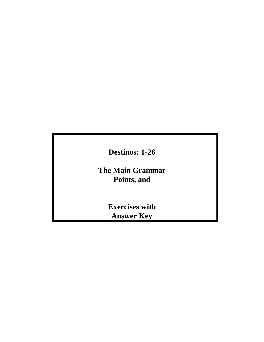**Destinos: 1-26**

**The Main Grammar Points, and**

> **Exercises with Answer Key**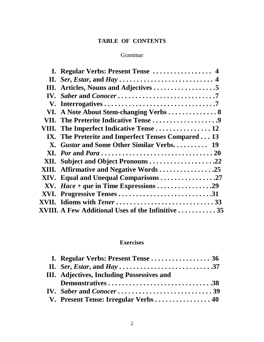# **TABLE OF CONTENTS**

# Grammar

|     | I. Regular Verbs: Present Tense  4                       |  |
|-----|----------------------------------------------------------|--|
|     |                                                          |  |
| Ш.  |                                                          |  |
| IV. |                                                          |  |
|     |                                                          |  |
|     |                                                          |  |
|     | VII. The Preterite Indicative Tense 9                    |  |
|     | VIII. The Imperfect Indicative Tense  12                 |  |
|     | IX. The Preterite and Imperfect Tenses Compared 13       |  |
|     | X. Gustar and Some Other Similar Verbs 19                |  |
|     |                                                          |  |
|     | XII. Subject and Object Pronouns 22                      |  |
|     | XIII. Affirmative and Negative Words25                   |  |
|     | XIV. Equal and Unequal Comparisons 27                    |  |
|     |                                                          |  |
|     | XVI. Progressive Tenses 31                               |  |
|     | XVII. Idioms with Tener 33                               |  |
|     | <b>XVIII. A Few Additional Uses of the Infinitive 35</b> |  |

# **Exercises**

| III. Adjectives, Including Possessives and |  |
|--------------------------------------------|--|
| Demonstratives38                           |  |
|                                            |  |
| V. Present Tense: Irregular Verbs 40       |  |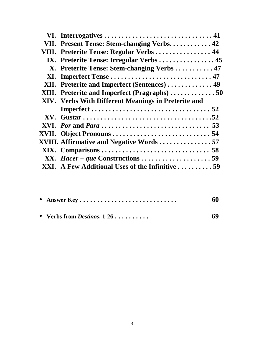| VII. Present Tense: Stem-changing Verbs 42          |  |
|-----------------------------------------------------|--|
| VIII. Preterite Tense: Regular Verbs 44             |  |
| IX. Preterite Tense: Irregular Verbs 45             |  |
| X. Preterite Tense: Stem-changing Verbs  47         |  |
|                                                     |  |
| XII. Preterite and Imperfect (Sentences)  49        |  |
| XIII. Preterite and Imperfect (Pragraphs)50         |  |
| XIV. Verbs With Different Meanings in Preterite and |  |
|                                                     |  |
|                                                     |  |
|                                                     |  |
|                                                     |  |
| XVIII. Affirmative and Negative Words 57            |  |
|                                                     |  |
|                                                     |  |
| XXI. A Few Additional Uses of the Infinitive 59     |  |
|                                                     |  |

| • Answer Key                          | 60 |
|---------------------------------------|----|
| • Verbs from <i>Destinos</i> , $1-26$ | 69 |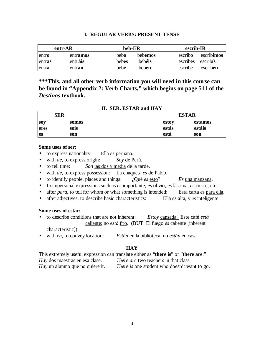|        | entr-AR  | beb-ER |              | escrib-IR |                  |
|--------|----------|--------|--------------|-----------|------------------|
| entro  | entramos | bebo   | bebemos      | escribo   | escribimos       |
| entras | entráis  | bebes  | hebéis       | escribes  | escrib <b>is</b> |
| entra  | entran   | bebe   | <b>beben</b> | escribe   | escriben         |

## **I. REGULAR VERBS: PRESENT TENSE**

**\*\*\*This, and all other verb information you will need in this course can be found in "Appendix 2: Verb Charts," which begins on page 511 of the** *Destinos* **textbook.**

| SER        |       | <b>ESTAR</b> |         |  |
|------------|-------|--------------|---------|--|
| <b>SOV</b> | somos | estoy        | estamos |  |
| eres       | sois  | estás        | estáis  |  |
| <b>es</b>  | son   | está         | son     |  |

## **II. SER, ESTAR and HAY**

#### **Some uses of ser:**

- to express nationality: Ella *es* peruana.
- with *de*, to express origin: *Soy* de Perú.
- to tell time: *Son* las dos y media de la tarde.
- with *de*, to express possession: La chaqueta *es* de Pablo.
- to identify people, places and things: ¿Qué *es* esto? *Es* una manzana.
- In impersonal expressions such as *es* importante, *es* obvio, *es* lástima, *es* cierto, etc.
- after *para*, to tell for whom or what something is intended: Esta carta *es* para ella.
- after adjectives, to describe basic characteristics: Ella *es* alta, y *es* inteligente.

## **Some uses of estar:**

- to describe conditions that are not inherent: *Estoy* cansada. Este café *está* caliente; no *está* frío. (BUT: El fuego *es* caliente [inherent characteristic])
- with *en*, to convey location: *Están* en la biblioteca; no *están* en casa.

## **HAY**

This extremely useful expression can translate either as "**there is**" or "**there are**:" *Hay* dos maestras en esa clase. *There are* two teachers in that class. *Hay* un alumno que no quiere ir. *There is* one student who doesn't want to go.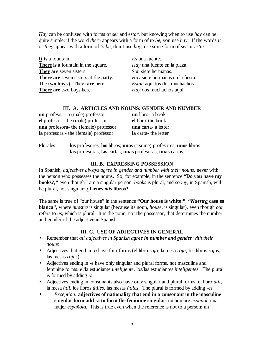*Hay* can be confused with forms of *ser* and *estar*, but knowing when to use *hay* can be quite simple: if the word *there* appears with a form of *to be*, you use *hay*. If the words *it* or *they* appear with a form of *to be*, don't use *hay*, use some form of *ser* or *estar*.

**It is** a fountain. *Es* una fuente. **There is** a fountain in the square. *Hay* una fuente en la plaza. **They are** seven sisters. *Son* siete hermanas. **There are** seven sisters at the party. *Hay* siete hermanas en la fiesta. The **two boys** (=They) **are** here. *Están* aquí los dos muchachos. **There are** two boys here. *Hay* dos muchachos aquí.

## **III. A. ARTICLES AND NOUNS: GENDER AND NUMBER**

| un profesor - a (male) professor             | <b>un</b> libro- a book    |
|----------------------------------------------|----------------------------|
| el profesor - the (male) professor           | el libro-the book          |
| <b>una</b> profesora- the (female) professor | <b>una</b> carta- a letter |
| la profesora - the (female) professor        | la carta-the letter        |

Plurales: **los** profesores, **los** libros; **unos** (=some) profesores, **unos** libros **las** profesoras, **las** cartas; **unas** profesoras, **unas** cartas

## **III. B. EXPRESSING POSSESSION**

In Spanish, *adjectives always agree in gender and number with their nouns*, never with the person who possesses the nouns. So, for example, in the sentence **"Do you have my books?,"** even though I am a singular person, *books* is plural, and so *my*, in Spanish, will be plural, not singular: **¿Tienes** *mis* **libros?**

The same is true of "our house" in the sentence **"Our house is white:" "***Nuestra* **casa es blanca",** where *nuestra* is singular (because its noun, *house*, is singular), even though *our* refers to *us*, which is plural. It is the noun, not the possessor, that determines the number and gender of the adjective in Spanish.

# **III. C. USE OF ADJECTIVES IN GENERAL**

- Remember that *all adjectives in Spanish agree in number and gender with their nouns*
- Adjectives that end in *-o* have four forms (el libro *rojo,* la mesa *roja*, los libros *rojos*, las mesas *rojas*).
- Adjectives ending in *-e* have only singular and plural forms, not masculine and feminine forms: el/la estudiante *inteligente*, los/las estudiantes *inteligentes.* The plural is formed by adding *-s*.
- Adjectives ending in consonants also have only singular and plural forms: el libro *útil*, la mesa *útil*, los libros *útiles*, las mesas *útiles*. The plural is formed by adding *-es*
- *Exception:* **adjectives of nationality that end in a consonant in the masculine singular form add -a to form the feminine singular**: un hombre *español*, una mujer *española*. This is true even when the reference is not to a person: un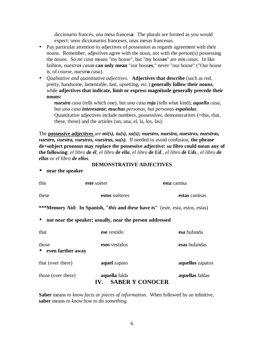diccionario francés, una mesa frances**a**. The plurals are formed as you would expect: unos diccionarios frances*es*, unas mesas frances*as*.

- Pay particular attention to adjectives of possession as regards agreement with their nouns. Remember, adjectives agree with the noun, not with the person(s) possessing the nouns. So *mi casa* means "my house", but "my hous**es**" are *mis casas*. In like fashion, *nuestras casas* **can only mean** "our hous**es**," never "our house" ("Our house is, of course, *nuestra casa*).
- *Qualitative and quantitative adjectives.* **Adjectives that describe** (such as red, pretty, handsome, lamentable, fast, upsetting, etc.) **generally follow their nouns**, while **adjectives that indicate, limit or express magnitude generally precede their nouns:**

*nuestra casa* (tells which one), but *una casa roja* (tells what kind); *aquella casa*, but *una casa interesante*; *muchas personas*, but *personas españolas*. Quantitative adjectives include numbers, possessives, demonstratives (=this, that, these, those) and the articles (un, una, el, la, los, las).

The **possessive adjectives** are *mi(s), tu(s), su(s); nuestro, nuestra, nuestros, nuestras, vuestro, vuestra, vuestros, vuestras, su(s).* If needed to avoid confusion, **the phrase de+subject pronoun may replace the possessive adjective:** *su libro* **could mean any of the following**: *el libro de él, el libro de ella, el libro de Ud., el libro de Uds., el libro de ellas* or *el libro de ellos.*

#### **DEMONSTRATIVE ADJECTIVES**

• **near the speaker**

| this                         | este suéter                                                                                   | esta camisa      |
|------------------------------|-----------------------------------------------------------------------------------------------|------------------|
| these                        | estos suéteres                                                                                | estas camisas    |
|                              | ***Memory Aid: In Spanish, " <i>this</i> and <i>these</i> have ts" (este, esta, estos, estas) |                  |
| $\bullet$                    | not near the speaker; usually, near the person addressed                                      |                  |
| that                         | ese vestido                                                                                   | esa bufanda      |
| those<br>• even farther away | esos vestidos                                                                                 | esas bufandas    |
| that (over there)            | aquel zapato                                                                                  | aquellos zapatos |
| those (over there)           | aquella falda<br><b>SABER Y CONOCER</b><br>$\mathbf{IV}_{\text{L}}$                           | aquellas faldas  |

**Saber** means *to know facts or pieces of information*. When followed by an infinitive, **saber** means *to know how to do something.*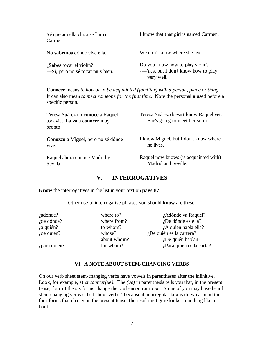| Sé que aquella chica se llama<br>Carmen.                        | I know that that girl is named Carmen.                                                 |
|-----------------------------------------------------------------|----------------------------------------------------------------------------------------|
| No sabemos dónde vive ella.                                     | We don't know where she lives.                                                         |
| $i$ Sabes tocar el violín?<br>---Sí, pero no sé tocar muy bien. | Do you know how to play violin?<br>----Yes, but I don't know how to play<br>very well. |

**Conocer** means *to kow or to be acquainted (familiar) with a person, place or thing.* It can also mean *to meet someone for the first time*. Note the personal **a** used before a specific person.

| Teresa Suárez no conoce a Raquel<br>todavía. La va a conocer muy<br>pronto. | Teresa Suárez doesn't know Raquel yet.<br>She's going to meet her soon. |  |
|-----------------------------------------------------------------------------|-------------------------------------------------------------------------|--|
| <b>Conozco</b> a Miguel, pero no sé dónde                                   | I know Miguel, but I don't know where                                   |  |
| vive.                                                                       | he lives.                                                               |  |
| Raquel ahora conoce Madrid y                                                | Raquel now knows (is acquainted with)                                   |  |
| Sevilla.                                                                    | Madrid and Seville.                                                     |  |

## **V. INTERROGATIVES**

**Know** the interrogatives in the list in your text on **page 87**.

Other useful interrogative phrases you should **know** are these:

| where to?   | ¿Adónde va Raquel?       |
|-------------|--------------------------|
| where from? | ¿De dónde es ella?       |
| to whom?    | ¿A quién habla ella?     |
| whose?      | ¿De quién es la cartera? |
| about whom? | ¿De quién hablan?        |
| for whom?   | ¿Para quién es la carta? |
|             |                          |

## **VI. A NOTE ABOUT STEM-CHANGING VERBS**

On our verb sheet stem-changing verbs have vowels in parentheses after the infinitive. Look, for example, at *encontrar(ue)*. The *(ue)* in parenthesis tells you that, in the present tense, four of the six forms change the *o* of enc*o*ntrar to *ue*. Some of you may have heard stem-changing verbs called "boot verbs," because if an irregular box is drawn around the four forms that change in the present tense, the resulting figure looks something like a boot: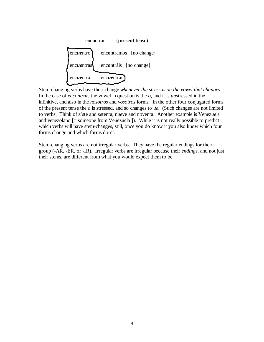

Stem-changing verbs have their change *whenever the stress is on the vowel that changes*. In the case of *encontrar*, the vowel in question is the *o*, and it is *un*stressed in the infinitive, and also in the *nosotros* and *vosotros* forms. In the other four conjugated forms of the present tense the *o* is stressed, and so changes to *ue*. (Such changes are not limited to verbs. Think of s*ie*te and s*e*tenta, n*ue*ve and n*o*venta. Another example is Venez*ue*la and venez*o*lano [= someone from Venezuela ]). While it is not really possible to predict which verbs will have stem-changes, still, once you do know it you also know which four forms change and which forms don't.

Stem-changing verbs are not irregular verbs. They have the regular endings for their group (-AR, -ER, or -IR). Irregular verbs are irregular because their *endings,* and not just their stems, are different from what you would expect them to be.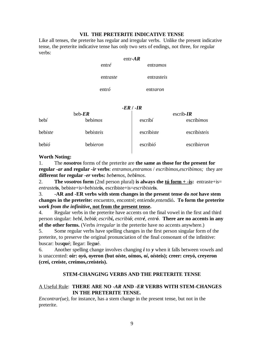## **VII. THE PRETERITE INDICATIVE TENSE**

Like all tenses, the preterite has regular and irregular verbs. Unlike the present indicative tense, the preterite indicative tense has only two sets of endings, not three, for regular verbs:

|                  | entr- $AR$ |            |
|------------------|------------|------------|
| entré            |            | entramos   |
| entraste         |            | entrasteis |
| entr $\acute{o}$ |            | entraron   |

#### *-ER* **/** *-IR*

| $beb$ - $ER$ |           | escrib- $IR$      |              |  |
|--------------|-----------|-------------------|--------------|--|
| bebí         | bebimos   | $\text{escrib}$ í | escribimos   |  |
| bebiste      | bebisteis | escribiste        | escribisteis |  |
| bebió        | bebieron  | escribió          | escribieron  |  |

#### **Worth Noting:**

1. The *nosotros* forms of the preterite are **the same as those for the present for regular** *-ar* **and regular** *-ir* **verbs**: *entramos,entramos* / *escribimos,escribimos;* they are **different for regular** *-er* **verbs:** *bebemos, bebimos*.

2. **The** *vosotros* **form** (2nd person plural) **is always the <u>tú form + -is</u>:** entraste+is= *entraste***is**, bebiste+is=*bebiste***is**, escribiste+is=*escribiste***is**.

3. **-AR and -ER verbs with stem changes in the present tense do** *not* **have stem changes in the preterite:** enc*ue*ntro, enc*o*ntré; ent*ie*nde,ent*e*ndió**. To form the preterite** *work from the infinitive***, not from the present tense.**

4. Regular verbs in the preterite have accents on the final vowel in the first and third person singular: *bebí, bebió*; *escribí***,** *escribió*; *entré, entró*. **There are no accents in any of the other forms.** (Verbs *irregular* in the preterite have no accents anywhere.)

5. Some regular verbs have spelling changes in the first person singular form of the preterite, to preserve the original pronunciation of the final consonant of the infinitive: buscar: bus**qu**é; llegar: lleg**u**é.

6. Another spelling change involves changing *i* to *y* when it falls between vowels and is unaccented: **oír: o***y***ó, o***y***eron (but o***í***ste, o***í***mos, o***í***, o***í***steis); creer: creyó, creyeron (creí, creíste, creímos,creísteis).**

## **STEM-CHANGING VERBS AND THE PRETERITE TENSE**

## A Useful Rule: **THERE ARE NO** *-AR* **AND** *-ER* **VERBS WITH STEM-CHANGES IN THE PRETERITE TENSE.**

*Encontrar(ue)*, for instance, has a stem change in the present tense, but not in the preterite.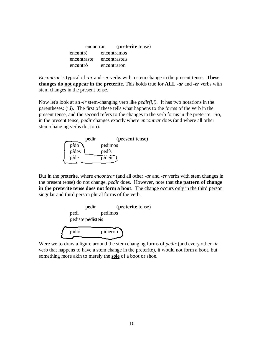| encontrar   | ( <b>preterite</b> tense) |
|-------------|---------------------------|
| encontré    | encontramos               |
| encontraste | encontrasteis             |
| encontró    | encontraron               |

*Encontrar* is typical of *-ar* and *-er* verbs with a stem change in the present tense. **These changes do not appear in the preterite.** This holds true for **ALL** *-ar* and *-er* verbs with stem changes in the present tense.

Now let's look at an *-ir* stem-changing verb like *pedir(i,i).* It has two notations in the parentheses: (i,i). The first of these tells what happens to the forms of the verb in the present tense, and the second refers to the changes in the verb forms in the preterite. So, in the present tense, *pedir* changes exactly where *encontrar* does (and where all other stem-changing verbs do, too):



But in the preterite, where *encontrar* (and all other *-ar* and *-er* verbs with stem changes in the present tense) do not change, *pedir* does. However, note that **the pattern of change in the preterite tense does not form a boot**. The change occurs only in the third person singular and third person plural forms of the verb.



Were we to draw a figure around the stem changing forms of *pedir* (and every other *-ir* verb that happens to have a stem change in the preterite), it would not form a boot, but something more akin to merely the **sole** of a boot or shoe.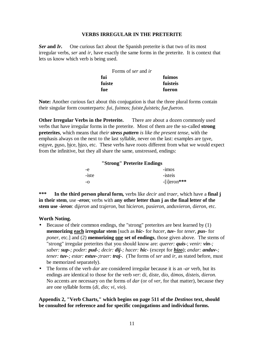#### **VERBS IRREGULAR IN THE PRETERITE**

*Ser* **and** *Ir***.** One curious fact about the Spanish preterite is that two of its most irregular verbs, *ser* and *ir*, have exactly the same forms in the preterite. It is context that lets us know which verb is being used.

| Forms of <i>ser</i> and <i>ir</i> |               |
|-----------------------------------|---------------|
| fui                               | <b>fuimos</b> |
| fuiste                            | fuisteis      |
| fue                               | fueron        |

**Note:** Another curious fact about this conjugation is that the three plural forms contain their singular form counterparts: *fui, fui*mos; *fuiste,fuiste*is; *fue,fue*ron.

**Other Irregular Verbs in the Preterite.** There are about a dozen commonly used verbs that have irregular forms in the preterite. Most of them are the so-called **strong preterites**, which means that *their stress pattern is like the present tense,* with the emphasis always on the next to the last syllable, never on the last: examples are tuve, estuve, puso, hice, hizo, etc. These verbs have roots different from what we would expect from the infinitive, but they all share the same, unstressed, endings:

| "Strong" Preterite Endings |                |  |
|----------------------------|----------------|--|
| -e                         | $-imos$        |  |
| -iste                      | -isteis        |  |
| -0                         | $-$ [i]eron*** |  |

**\*\*\* In the third person plural form***,* verbs like *decir* and *traer*, which have a **final j in their stem**, use *-eron*; verbs with **any other letter than j as the final letter of the stem use** *-ieron*: di*jeron* and tra*jeron*, but hic*ieron*, pus*ieron*, anduv*ieron*, d*ieron,* etc.

## **Worth Noting.**

- Because of their common endings, the "strong" preterites are best learned by (1) **memorizing each irregular stem** [such as *hic-* for *hacer*, *tuv-* for *tener*, *pus-* for *poner*, etc.] and (2) **memorizing one set of endings**, those given above. The stems of "strong" irregular preterites that you should know are: *querer: quis-*; *venir: vin-; saber: sup-; poder: pud-; decir: dij-; hacer: hic-* (except for *hizo*); *andar: anduv-; tener: tuv-; estar: estuv-;traer: traj-.* (The forms of *ser* and *ir*, as stated before, must be memorized separately).
- The forms of the verb *dar* are considered irregular because it is an *-ar* verb, but its endings are identical to those for the verb *ver*: d*i*, d*iste*, d*io*, d*imos*, d*isteis*, d*ieron.* No accents are necessary on the forms of *dar* (or of *ver*, for that matter), because they are one syllable forms (*di, dio; vi, vio*).

## **Appendix 2, "Verb Charts," which begins on page 511 of the** *Destinos* **text, should be consulted for reference and for specific conjugations and individual forms.**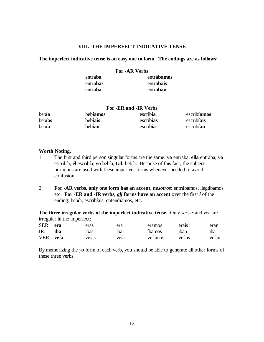## **VIII. THE IMPERFECT INDICATIVE TENSE**

#### **The imperfect indicative tense is an easy one to form. The endings are as follows:**

#### **For -AR Verbs**

| entraba  | entrábamos |
|----------|------------|
| entrabas | entrabais  |
| entraba  | entraban   |

| For -ER and -IR Verbs |          |           |             |
|-----------------------|----------|-----------|-------------|
| bebía                 | bebíamos | escribía  | escribíamos |
| bebías                | bebíais  | escribías | escribíais  |
| bebía                 | bebían   | escribía  | escribían   |

#### **Worth Noting.**

- 1. The first and third person singular forms are the same: **yo** entraba, **ella** entraba; **yo**  escribía, **él** escribía; **yo** bebía, **Ud.** bebía. Because of this fact, the subject pronouns are used with these imperfect forms whenever needed to avoid confusion.
- 2. **For -AR verbs**, **only one form has an accent,** *nosotros*: entr*á*bamos, lleg*á*bamos, etc. **For -ER and -IR verbs,** *all* **forms have an accent** over the first *í* of the ending: beb*í*a, escrib*í*ais, entend*í*amos, etc.

**The three irregular verbs of the imperfect indicative tense.** Only *ser, ir* and *ver* are irregular in the imperfect:

| SER: era  |     | eras  | era  | éramos  | erais  | eran  |
|-----------|-----|-------|------|---------|--------|-------|
| IR:       | iba | ibas  | 1ba  | íbamos  | 1ban   | iba   |
| VER: veía |     | veías | veía | veíamos | veíais | veían |

By memorizing the *yo* form of each verb, you should be able to generate all other forms of these three verbs.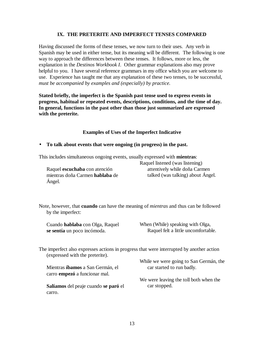## **IX. THE PRETERITE AND IMPERFECT TENSES COMPARED**

Having discussed the forms of these tenses, we now turn to their uses. Any verb in Spanish may be used in either tense, but its meaning will be different. The following is one way to approach the differences between these tenses. It follows, more or less, the explanation in the *Destinos Workbook I*. Other grammar explanations also may prove helpful to you. I have several reference grammars in my office which you are welcome to use. Experience has taught me that any explanation of these two tenses, to be successful, *must be accompanied by examples and (especially) by practice.*

**Stated briefly, the imperfect is the Spanish past tense used to express events in progress, habitual or repeated events, descriptions, conditions, and the time of day. In general, functions in the past other than those just summarized are expressed with the preterite.**

## **Examples of Uses of the Imperfect Indicative**

#### • **To talk about events that were ongoing (in progress) in the past.**

This includes simultaneous ongoing events, usually expressed with **mientras**:

Raquel **escuchaba** con atención mientras doña Carmen **hablaba** de Ángel.

Raquel listened (was listening) attentively while doña Carmen talked (was talking) about Ángel.

Note, however, that **cuando** can have the meaning of *mientras* and thus can be followed by the imperfect:

Cuando **hablaba** con Olga, Raquel **se sentía** un poco incómoda.

When (While) speaking with Olga, Raquel felt a little uncomfortable.

The imperfect also expresses actions in progress that were interrupted by another action (expressed with the preterite).

Mientras **íbamos** a San Germán, el carro **empezó** a funcionar mal.

**Salíamos** del peaje cuando **se paró** el carro.

While we were going to San Germán, the car started to run badly.

We were leaving the toll both when the car stopped.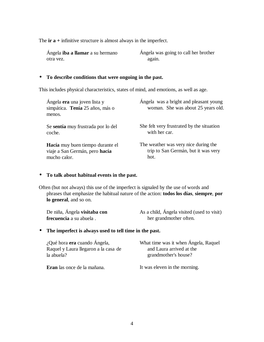The **ir a +** infinitive structure is almost always in the imperfect.

| Ángela <b>iba a llamar</b> a su hermano | Angela was going to call her brother |
|-----------------------------------------|--------------------------------------|
| otra vez.                               | again.                               |

## • **To describe conditions that were ongoing in the past.**

This includes physical characteristics, states of mind, and emotions, as well as age.

| Ángela <b>era</b> una joven lista y<br>simpática. Tenía 25 años, más o<br>menos. | Ángela was a bright and pleasant young<br>woman. She was about 25 years old. |
|----------------------------------------------------------------------------------|------------------------------------------------------------------------------|
| Se sentía muy frustrada por lo del                                               | She felt very frustrated by the situation                                    |
| coche.                                                                           | with her car.                                                                |
| Hacía muy buen tiempo durante el                                                 | The weather was very nice during the                                         |
| viaje a San Germán, pero hacía                                                   | trip to San Germán, but it was very                                          |
| mucho calor.                                                                     | hot.                                                                         |

## • **To talk about habitual events in the past.**

Often (but not always) this use of the imperfect is signaled by the use of words and phrases that emphasize the habitual nature of the action: **todos los días**, **siempre**, **por lo general**, and so on.

| De niña, Ángela <b>visitaba con</b> | As a child, Angela visited (used to visit) |
|-------------------------------------|--------------------------------------------|
| frecuencia a su abuela.             | her grandmother often.                     |

## • **The imperfect is always used to tell time in the past.**

| ¿Qué hora era cuando Ángela,         | What time was it when Angela, Raquel |
|--------------------------------------|--------------------------------------|
| Raquel y Laura llegaron a la casa de | and Laura arrived at the             |
| la abuela?                           | grandmother's house?                 |
|                                      |                                      |

**Eran** las once de la mañana.

It was eleven in the morning.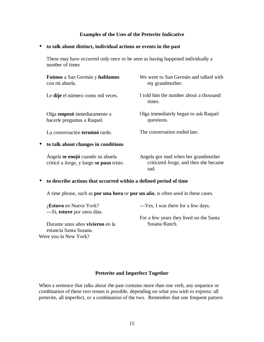## **Examples of the Uses of the Preterite Indicative**

## • **to talk about distinct, individual actions or events in the past**

These may have occurred only once or be seen as having happened individually a number of times

|           | Fuimos a San Germán y hablamos<br>con mi abuela.                                                | We went to San Germán and talked with<br>my grand mother.                            |
|-----------|-------------------------------------------------------------------------------------------------|--------------------------------------------------------------------------------------|
|           | Le dije el número como mil veces.                                                               | I told him the number about a thousand<br>times.                                     |
|           | Olga empezó inmediatamente a<br>hacerle preguntas a Raquel.                                     | Olga immediately began to ask Raquel<br>questions.                                   |
|           | La conversación <b>terminó</b> tarde.                                                           | The conversation ended late.                                                         |
| $\bullet$ | to talk about changes in conditions                                                             |                                                                                      |
|           | Ángela se enojó cuando su abuela<br>criticó a Jorge, y luego se puso triste.                    | Angela got mad when her grandmother<br>criticized Jorge, and then she became<br>sad. |
| $\bullet$ | to describe actions that occurred within a defined period of time                               |                                                                                      |
|           | A time phrase, such as <b>por una hora</b> or <b>por un año</b> , is often used in these cases. |                                                                                      |

| <i>i</i> . <b>Estuvo</b> en Nueva York? | ---Yes, I was there for a few days.     |
|-----------------------------------------|-----------------------------------------|
| ---Sí, estuve por unos días.            |                                         |
|                                         | For a few years they lived on the Santa |
| Durante unos años <b>vivieron</b> en la | Susana Ranch.                           |
| estancia Santa Susana.                  |                                         |

Were you in New York?

## **Preterite and Imperfect Together**

When a sentence that talks about the past contains more than one verb, any sequence or combination of these two tenses is possible, depending on what you wish to express: all preterite, all imperfect, or a combination of the two. Remember that one frequent pattern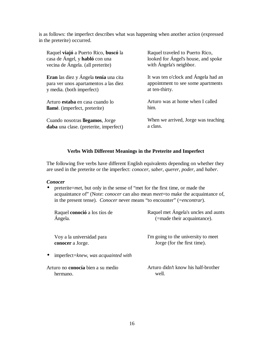is as follows: the imperfect describes what was happening when another action (expressed in the preterite) occurred.

| Raquel viajó a Puerto Rico, buscó la   | Raquel traveled to Puerto Rico,      |  |  |
|----------------------------------------|--------------------------------------|--|--|
| casa de Ángel, y habló con una         | looked for Ángel's house, and spoke  |  |  |
| vecina de Ángela. (all preterite)      | with Ángela's neighbor.              |  |  |
| Eran las diez y Ángela tenía una cita  | It was ten o'clock and Ángela had an |  |  |
| para ver unos apartamentos a las diez  | appointment to see some apartments   |  |  |
| y media. (both imperfect)              | at ten-thirty.                       |  |  |
| Arturo <b>estaba</b> en casa cuando lo | Arturo was at home when I called     |  |  |
| llamé. (imperfect, preterite)          | him.                                 |  |  |
| Cuando nosotras llegamos, Jorge        | When we arrived, Jorge was teaching  |  |  |
| daba una clase. (preterite, imperfect) | a class.                             |  |  |

## **Verbs With Different Meanings in the Preterite and Imperfect**

The following five verbs have different English equivalents depending on whether they are used in the preterite or the imperfect: *conocer*, *saber*, *querer*, *poder*, and *haber*.

## *Conocer*

• preterite=*met*, but only in the sense of "met for the first time, or made the acquaintance of" (Note: *conocer* can also mean *meet*=to make the acquaintance of, in the present tense). *Conocer* never means "to encounter" (=*encontrar*).

| Raquel conoció a los tíos de                     | Raquel met Ángela's uncles and aunts |
|--------------------------------------------------|--------------------------------------|
| Ángela.                                          | (=made their acquaintance).          |
| Voy a la universidad para                        | I'm going to the university to meet  |
| conocer a Jorge.                                 | Jorge (for the first time).          |
| imperfect=knew, was acquainted with<br>$\bullet$ |                                      |
| Arturo no conocía bien a su medio                | Arturo didn't know his half-brother  |
| hermano.                                         | well.                                |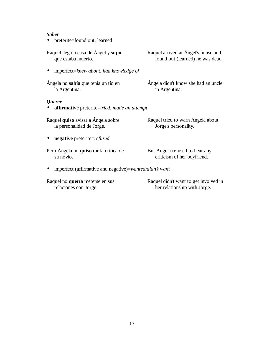#### *Saber*

• preterite=found out, learned

Raquel llegó a casa de Ángel y **supo** que estaba muerto.

• imperfect=*knew about, had knowledge of*

Ángela no **sabía** que tenía un tío en la Argentina.

#### *Querer*

• **affirmative** preterite=*tried, made an attempt*

Raquel **quiso** avisar a Ángela sobre la personalidad de Jorge.

• **negative** preterite=*refused*

Pero Ángela no **quiso** oír la crítica de su novio.

Raquel tried to warn Ángela about

Jorge's personality.

But Ángela refused to hear any criticism of her boyfriend.

• imperfect (affirmative and negative)=*wanted/didn't want*

Raquel no **quería** meterse en sus relaciones con Jorge.

Raquel didn't want to get involved in her relationship with Jorge.

Raquel arrived at Ángel's house and found out (learned) he was dead.

Ángela didn't know she had an uncle in Argentina.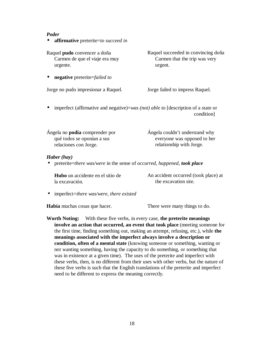#### *Poder*

• **affirmative** preterite=*to succeed in*

Raquel **pudo** convencer a doña Carmen de que el viaje era muy urgente.

• **negative** preterite=*failed to*

Jorge no pudo impresionar a Raquel. Jorge failed to impress Raquel.

Raquel succeeded in convincing doña Carmen that the trip was very urgent.

• imperfect (affirmative and negative)=*was (not) able to* [description of a state or condition]

| Ángela no <b>podía</b> comprender por | Ángela couldn't understand why |  |  |
|---------------------------------------|--------------------------------|--|--|
| qué todos se oponían a sus            | everyone was opposed to her    |  |  |
| relaciones con Jorge.                 | relationship with Jorge.       |  |  |
|                                       |                                |  |  |

## *Haber (hay)*

• preterite=*there was/were* in the sense of *occurred, happened, took place*

| <b>Hubo</b> un accidente en el sitio de | An accident occurred (took place) at |  |  |  |
|-----------------------------------------|--------------------------------------|--|--|--|
| la excavación.                          | the excavation site.                 |  |  |  |

• imperfect=*there was/were, there existed*

**Había** muchas cosas que hacer. There were many things to do.

**Worth Noting:** With these five verbs, in every case, **the preterite meanings involve an action that occurred, an event that took place** (meeting someone for the first time, finding something out, making an attempt, refusing, etc.), while **the meanings associated with the imperfect always involve a description or condition, often of a mental state** (knowing someone or something, wanting or not wanting something, having the capacity to do something, or something that was in existence at a given time). The uses of the preterite and imperfect with these verbs, then, is no different from their uses with other verbs, but the nature of these five verbs is such that the English translations of the preterite and imperfect need to be different to express the meaning correctly.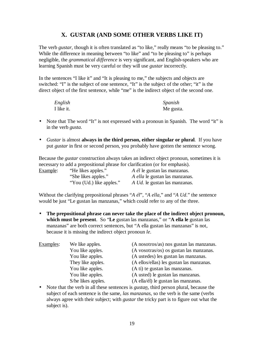# **X. GUSTAR (AND SOME OTHER VERBS LIKE IT)**

The verb *gustar*, though it is often translated as "to like," really means "to be pleasing to." While the difference in meaning between "to like" and "to be pleasing to" is perhaps negligible, the *grammatical difference* is very significant, and English-speakers who are learning Spanish must be very careful or they will use *gustar* incorrectly.

In the sentences "I like it" and "It is pleasing to me," the subjects and objects are switched: "I" is the subject of one sentence, "It" is the subject of the other; "it" is the direct object of the first sentence, while "me" is the indirect object of the second one.

| English    | Spanish   |
|------------|-----------|
| I like it. | Me gusta. |

- Note that The word "It" is not expressed with a pronoun in Spanish. The word "it" is in the verb *gusta*.
- *Gustar* is almost **always in the third person, either singular or plural**. If you have put *gustar* in first or second person, you probably have gotten the sentence wrong.

Because the *gustar* construction always takes an indirect object pronoun, sometimes it is necessary to add a prepositional phrase for clarification (or for emphasis).

| Example: | "He likes apples."       | <i>A él</i> le gustan las manzanas.  |
|----------|--------------------------|--------------------------------------|
|          | "She likes apples."      | A ella le gustan las manzanas.       |
|          | "You (Ud.) like apples." | <i>A Ud.</i> le gustan las manzanas. |

Without the clarifying prepositional phrases "*A él*", "*A ella*," and "*A Ud*." the sentence would be just "Le gustan las manzanas," which could refer to any of the three.

• **The prepositional phrase can never take the place of the indirect object pronoun, which must be present**. So "**Le** gustan las manzanas," or "**A ella le** gustan las manzanas" are both correct sentences, but "A ella gustan las manzanas" is not, because it is missing the indirect object pronoun *le*.

| <b>Examples:</b> | We like apples.    | (A nosotros/as) nos gustan las manzanas.             |
|------------------|--------------------|------------------------------------------------------|
|                  | You like apples.   | (A vosotras/os) os gustan las manzanas.              |
|                  | You like apples.   | (A ustedes) les gustan las manzanas.                 |
|                  | They like apples.  | (A ellos/ellas) les gustan las manzanas.             |
|                  | You like apples.   | (A ti) te gustan las manzanas.                       |
|                  | You like apples.   | (A usted) le gustan las manzanas.                    |
|                  | S/he likes apples. | $(A \text{ ella}/\text{él})$ le gustan las manzanas. |

• Note that the verb in all these sentences is *gustan*, third person plural, because the subject of each sentence is the same, *las manzanas*, so the verb is the same (verbs always agree with their subject; with *gustar* the tricky part is to figure out what the subject is).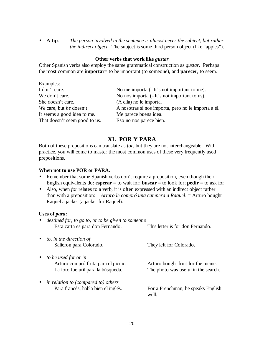• **A tip**: *The person involved in the sentence is almost never the subject, but rather the indirect object*. The subject is some third person object (like "apples").

#### **Other verbs that work like** *gustar*

Other Spanish verbs also employ the same grammatical construction as *gustar*. Perhaps the most common are **importar**= to be important (to someone), and **parecer**, to seem.

| No me importa $(=It)$ 's not important to me).      |
|-----------------------------------------------------|
| No nos importa $(=It)$ 's not important to us).     |
| (A ella) no le importa.                             |
| A nosotras sí nos importa, pero no le importa a él. |
| Me parece buena idea.                               |
| Eso no nos parece bien.                             |
|                                                     |

# **XI. POR Y PARA**

Both of these prepositions can translate as *for*, but they are not interchangeable. With practice, you will come to master the most common uses of these very frequently used prepositions.

#### **When not to use POR or PARA.**

- Remember that some Spanish verbs don't require a preposition, even though their English equivalents do: **esperar** = to wait for; **buscar** = to look for; **pedir** = to ask for
- Also, when *for* relates to a verb, it is often expressed with an indirect object rather than with a preposition: *Arturo le compró una campera a Raquel*. = Arturo bought Raquel a jacket (a jacket for Raquel).

#### **Uses of** *para***:**

| destined for, to go to, or to be given to someone<br>Esta carta es para don Fernando.             | This letter is for don Fernando.                                           |
|---------------------------------------------------------------------------------------------------|----------------------------------------------------------------------------|
| $\bullet$ to, in the direction of<br>Salieron para Colorado.                                      | They left for Colorado.                                                    |
| to be used for or in<br>Arturo compró fruta para el picnic.<br>La foto fue útil para la búsqueda. | Arturo bought fruit for the picnic.<br>The photo was useful in the search. |
| in relation to (compared to) others<br>Para francés, habla bien el inglés.                        | For a Frenchman, he speaks English<br>well.                                |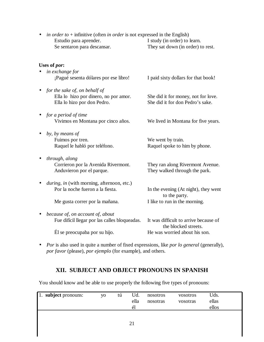| Se sentaron para descansar.                                                        | They sat down (in order) to rest.                                                                                  |
|------------------------------------------------------------------------------------|--------------------------------------------------------------------------------------------------------------------|
| Uses of <i>por</i> :                                                               |                                                                                                                    |
|                                                                                    |                                                                                                                    |
| ¡Pagué sesenta dólares por ese libro!                                              | I paid sixty dollars for that book!                                                                                |
| for the sake of, on behalf of                                                      |                                                                                                                    |
| Ella lo hizo por don Pedro.                                                        | She did it for money, not for love.<br>She did it for don Pedro's sake.                                            |
| for a period of time                                                               |                                                                                                                    |
|                                                                                    | We lived in Montana for five years.                                                                                |
| by, by means of                                                                    |                                                                                                                    |
| Raquel le habló por teléfono.                                                      | We went by train.<br>Raquel spoke to him by phone.                                                                 |
| through, along<br>Corrieron por la Avenida Rivermont.<br>Anduvieron por el parque. | They ran along Rivermont Avenue.<br>They walked through the park.                                                  |
| during, in (with morning, afternoon, etc.)<br>Por la noche fueron a la fiesta.     | In the evening (At night), they went                                                                               |
| Me gusta correr por la mañana.                                                     | to the party.<br>I like to run in the morning.                                                                     |
| because of, on account of, about<br>Fue difícil llegar por las calles bloqueadas.  | It was difficult to arrive because of<br>the blocked streets.                                                      |
| Él se preocupaba por su hijo.                                                      | He was worried about his son.                                                                                      |
|                                                                                    | in exchange for<br>Ella lo hizo por dinero, no por amor.<br>Vivimos en Montana por cinco años.<br>Fuimos por tren. |

• *in order to* + infinitive (often *in order* is not expressed in the English)

Estudio para aprender. I study (in order) to learn.

• *Por* is also used in quite a number of fixed expressions, like *por lo general* (generally), *por favor* (please), *por ejemplo* (for example), and others.

# **XII. SUBJECT AND OBJECT PRONOUNS IN SPANISH**

You should know and be able to use properly the following five types of pronouns:

| $\boxed{1}$ subject pronouns: | <b>VO</b> | tú | Ud.<br>ella<br>él | nosotros<br>nosotras | vosotros<br>vosotras | Uds.<br>ellas<br>ellos |
|-------------------------------|-----------|----|-------------------|----------------------|----------------------|------------------------|
|                               |           |    | 21                |                      |                      |                        |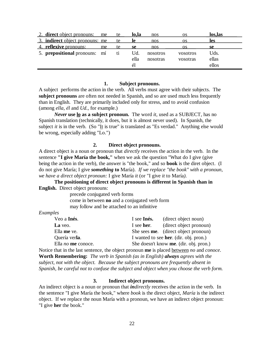| 2. direct object pronouns:             | me | te  | lo.la | nos      | <b>OS</b>       | los, las |  |
|----------------------------------------|----|-----|-------|----------|-----------------|----------|--|
| 3. <b>indirect</b> object pronouns: me |    | te  | 1e    | nos      | OS              | les      |  |
| 4. reflexive pronouns:                 | me |     | se    | nos      |                 | se       |  |
| 5. prepositional pronouns: mí          |    | ti. | Ud.   | nosotros | <b>vosotros</b> | Uds.     |  |
|                                        |    |     | ella  | nosotras | vosotras        | ellas    |  |
|                                        |    |     |       |          |                 | ellos    |  |

#### **1. Subject pronouns.**

A subject performs the action in the verb. All verbs must agree with their subjects. The **subject pronouns** are often not needed in Spanish, and so are used much less frequently than in English. They are primarily included only for stress, and to avoid confusion (among *ella, él* and *Ud.*, for example.)

*Never* **use lo as a subject pronoun.** The word *it,* used as a SUBJECT, has no Spanish translation (technically, it does, but it is almost never used). In Spanish, the subject *it* is in the verb. (So "It is true" is translated as "Es verdad." Anything else would be wrong, especially adding "Lo.")

## **2. Direct object pronouns.**

A direct object is a noun or pronoun that *directly* receives the action in the verb. In the sentence **"I give María the book,"** when we ask the question "What do I give (give being the action in the verb), the answer is "the book," and so **book** is the diret object. (I do not give María; I give *something* **to** María). *If we replace "the book" with a pronoun, we have a direct object pronoun:* I give María *it* (or "I give *it* to María*).*

**The positioning of direct object pronouns is different in Spanish than in English.** Direct object pronouns:

> precede conjugated verb forms come in between **no** and a conjugated verb form may follow and be attached to an infinitive

#### *Examples*

| Veo a Inés.               | I see Inés. | (direct object noun)                   |
|---------------------------|-------------|----------------------------------------|
| La veo.                   | I see her.  | (direct object pronoun)                |
| Ella me ve.               |             | She sees me. (direct object pronoun)   |
| Quería ver <b>la</b> .    |             | I wanted to see her. (dir. obj. pron.) |
| Ella <i>no</i> me conoce. |             | She doesn't know me. (dir. obj. pron.) |

Notice that in the last sentence, the object pronoun **me** is placed between *no* and *conoce*. **Worth Remembering:** *The verb in Spanish (as in English) always agrees with the subject, not with the object. Because the subject pronouns are frequently absent in Spanish, be careful not to confuse the subject and object when you choose the verb form.*

#### **3. Indirect object pronouns.**

An indirect object is a noun or pronoun that *indirectly* receives the action in the verb. In the sentence "I give María the book," where *book* is the direct object, *María* is the indirect object. If we replace the noun María with a pronoun, we have an indirect object pronoun: "I give **her** the book."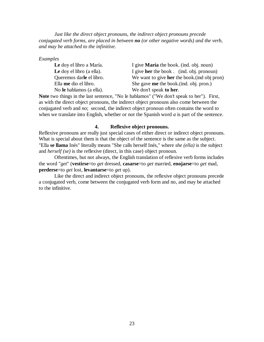*Just like the direct object pronouns, the indirect object pronouns precede conjugated verb forms, are placed in between no (or other negative words) and the verb, and may be attached to the infinitive.*

*Examples*

No **le** hablamos (a ella). We don't speak **to her**.

Le doy el libro a María. I give **María** the book. (ind. obj. noun) Le doy el libro (a ella). I give **her** the book . (ind. obj. pronoun) Queremos dar**le** el libro. We want to give **her** the book.(ind obj pron) Ella **me** dio el libro. She gave **me** the book.(ind. obj. pron.)

**Note** two things in the last sentence, "No le hablamos" ("We don't speak to her"). First, as with the direct object pronouns, the indirect object pronouns also come between the conjugated verb and *no*; second, the indirect object pronoun often contains the word *to* when we translate into English, whether or not the Spanish word *a* is part of the sentence.

## **4. Reflexive object pronouns.**

Reflexive pronouns are really just special cases of either direct or indirect object pronouns. What is special about them is that the object of the sentence is the same as the subject. "Ella **se llama** Inés" literally means "She calls herself Inés," where *she (ella)* is the subject and *herself (se)* is the reflexive (direct, in this case) object pronoun.

Oftentimes, but not always, the English translation of reflexive verb forms includes the word "*get*" (**vestirse**=to *get* dressed, **casarse**=to *get* married, **enojarse**=to *get* mad, **perderse**=to *get* lost, **levantarse**=to *get* up).

Like the direct and indirect object pronouns, the reflexive object pronouns precede a conjugated verb, come between the conjugated verb form and no, and may be attached to the infinitive.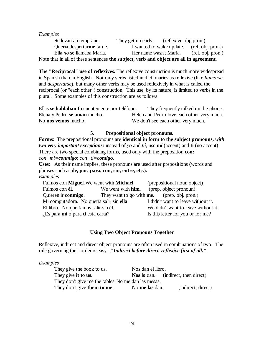#### *Examples*

Se levantan temprano. They get up early. (reflexive obj. pron.) Quería despertar**me** tarde. I wanted to wake up late. (ref. obj. pron.) Ella *no* **se** llamaba María. Her name wasn't María. (ref. obj. pron.) Note that in all of these sentences **the subject, verb and object are all in agreement**.

**The "Reciprocal" use of reflexives.** The reflexive construction is much more widespread in Spanish than in English. Not only verbs listed in dictionaries as reflexive (like *llamarse* and *despertarse*), but many other verbs may be used reflexively in what is called the reciprocal (or "each other") construction. This use, by its nature, is limited to verbs in the plural. Some examples of this construction are as follows:

Ellas **se hablaban** frecuentemente por teléfono. They frequently talked on the phone. Elena y Pedro **se aman** mucho. **Helen** and Pedro love each other very much. No **nos vemos** mucho. We don't see each other very much.

## **5. Prepositional object pronouns.**

**Forms**: The prepositional pronouns are **identical in form to the subject pronouns,** *with two very important exceptions:* instead of *yo* and *tú,* use **mí** (accent) and **ti** (no accent). There are two special combining forms, used only with the preposition **con:** *con+mí=conmigo*; *con+ti=contigo.*

**Uses:** As their name implies, these pronouns are used after prepositions (words and phrases such as **de, por, para, con, sin, entre, etc.).**

| Examples |  |
|----------|--|
|          |  |

| Fuimos con Miguel. We went with Michael.  |                           | (prepositional noun object)                         |  |
|-------------------------------------------|---------------------------|-----------------------------------------------------|--|
| Fuimos con él.                            | We went with <b>him</b> . | (prep. object pronoun)                              |  |
| Quieren ir conmigo.                       |                           | They want to go with <b>me</b> . (prep. obj. pron.) |  |
| Mi computadora. No quería salir sin ella. |                           | I didn't want to leave without it.                  |  |
| El libro. No queríamos salir sin él.      |                           | We didn't want to leave without it.                 |  |
| $i$ Es para mí o para ti esta carta?      |                           | Is this letter for you or for me?                   |  |

## **Using Two Object Pronouns Together**

Reflexive, indirect and direct object pronouns are often used in combinations of two. The rule governing their order is easy: *"Indirect before direct, reflexive first of all."*

#### *Examples*

| They give the book to us.                           | Nos dan el libro. |                                            |  |  |
|-----------------------------------------------------|-------------------|--------------------------------------------|--|--|
| They give it to us.                                 |                   | <b>Nos lo</b> dan. (indirect, then direct) |  |  |
| They don't give me the tables. No me dan las mesas. |                   |                                            |  |  |
| They don't give them to me.                         | No me las dan.    | (indirect, direct)                         |  |  |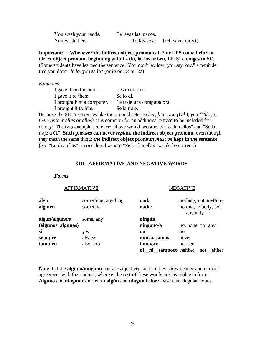| You wash your hands. | Te lavas las manos. |                                   |
|----------------------|---------------------|-----------------------------------|
| You wash them.       |                     | Te las lavas. (reflexive, direct) |

**Important: Whenever the indirect object pronouns LE or LES come before a direct object pronoun beginning with L- (lo, la, los** or **las), LE(S) changes to SE. (**Some students have learned the sentence "You don't lay low, you say low," a reminder that you don't "*le lo*, you *se lo*" (or *la* or *los* or *las*)

#### *Examples*

| I gave them the book.     | Les di el libro.          |
|---------------------------|---------------------------|
| I gave it to them.        | Se lo di.                 |
| I brought him a computer. | Le traje una computadora. |
| I brought it to him.      | Se la traje.              |

Because the SE in sentences like these could refer to *her, him, you (Ud.), you (Uds.) or them (either ellas or ellos),* it is common for an additional phrase to be included for clarity: The two example sentences above would become "Se lo di **a ellas**" and "Se la traje **a él**." **Such phrases can never** *replace* **the indirect object pronoun**, even though they mean the same thing; **the indirect object pronoun** *must* **be kept in the sentence**. (So, "Lo di a ellas" is considered *wrong*; "*Se* lo di a ellas" would be correct.)

#### **XIII. AFFIRMATIVE AND NEGATIVE WORDS.**

#### *Forms*

#### AFFIRMATIVE

#### NEGATIVE

| algo<br>alguien                      | something, anything<br>someone | nada<br>nadie          | nothing, not anything<br>no one, nobody, not<br>anybody |
|--------------------------------------|--------------------------------|------------------------|---------------------------------------------------------|
| algún/alguno/a<br>(algunos, algunas) | some, any                      | ningún,<br>ninguno/a   | no, none, not any                                       |
| sí                                   | yes                            | $\mathbf{n}\mathbf{o}$ | no                                                      |
| siempre                              | always                         | nunca, jamás           | never                                                   |
| también                              | also, too                      | tampoco                | neither                                                 |
|                                      |                                |                        | ni_ni_tampoco neither_nor_either                        |

Note that the **alguno/ninguno** pair are adjectives, and so they show gender and number agreement with their nouns, whereas the rest of these words are invariable in form. **Alguno** and **ninguno** shorten to **algún** and **ningún** before masculine singular nouns.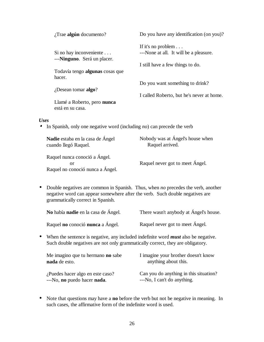| $i$ Trae algún documento?                                                                                      | Do you have any identification (on you)?  |
|----------------------------------------------------------------------------------------------------------------|-------------------------------------------|
|                                                                                                                | If it's no problem $\ldots$               |
| Si no hay inconveniente                                                                                        | ---None at all. It will be a pleasure.    |
| --- <b>Ninguno</b> . Será un placer.                                                                           |                                           |
|                                                                                                                | I still have a few things to do.          |
| Todavía tengo <b>algunas</b> cosas que                                                                         |                                           |
| hacer.                                                                                                         |                                           |
|                                                                                                                | Do you want something to drink?           |
| $i$ Desean tomar algo?                                                                                         |                                           |
|                                                                                                                | I called Roberto, but he's never at home. |
| Llamé a Roberto, pero nunca<br>está en su casa.                                                                |                                           |
| <b>Uses</b>                                                                                                    |                                           |
| In Spanish, only one negative word (including no) can precede the verb                                         |                                           |
| कर का साथ पार्टी के पार्टी करने के लिए सीमा की पार्टी करने हैं। इस पार्टी के लिए सीमा की पार्टी करने की पार्टी |                                           |

| Nadie estaba en la casa de Ángel                                        | Nobody was at Angel's house when |
|-------------------------------------------------------------------------|----------------------------------|
| cuando llegó Raquel.                                                    | Raquel arrived.                  |
| Raquel nunca conoció a Ángel.<br>or<br>Raquel no conoció nunca a Ángel. | Raquel never got to meet Angel.  |

• Double negatives are common in Spanish. Thus, when *no* precedes the verb, another negative word can appear somewhere after the verb. Such double negatives are grammatically correct in Spanish.

|           | No había nadie en la casa de Ángel.                                                                                                                                         | There wasn't anybody at Ángel's house.                      |  |
|-----------|-----------------------------------------------------------------------------------------------------------------------------------------------------------------------------|-------------------------------------------------------------|--|
|           | Raquel no conoció nunca a Ángel.                                                                                                                                            | Raquel never got to meet Angel.                             |  |
| $\bullet$ | When the sentence is negative, any included indefinite word <i>must</i> also be negative.<br>Such double negatives are not only grammatically correct, they are obligatory. |                                                             |  |
|           | Me imagino que tu hermano no sabe<br>nada de esto.                                                                                                                          | I imagine your brother doesn't know<br>anything about this. |  |
|           | ¿Puedes hacer algo en este caso?                                                                                                                                            | Can you do anything in this situation?                      |  |

• Note that questions may have a **no** before the verb but not be negative in meaning. In such cases, the affirmative form of the indefinite word is used.

---No, I can't do anything.

---No, **no** puedo hacer **nada**.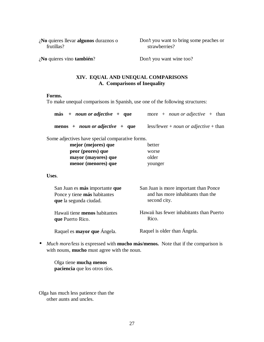¿**No** quieres llevar **algunos** duraznos o frutillas?

Don't you want to bring some peaches or strawberries?

¿**No** quieres vino **también**?

Don't you want wine too?

## **XIV. EQUAL AND UNEQUAL COMPARISONS A. Comparisons of Inequality**

#### **Forms.**

To make unequal comparisons in Spanish, use one of the following structures:

| $más + noun or adjective + que$                                                          | more + <i>noun or adjective</i> + than                                                     |
|------------------------------------------------------------------------------------------|--------------------------------------------------------------------------------------------|
| menos + <i>noun or adjective</i> + que                                                   | $less/fewer + noun \ or \ adjective + than$                                                |
| Some adjectives have special comparative forms.                                          |                                                                                            |
| mejor (mejores) que                                                                      | better                                                                                     |
| peor (peores) que                                                                        | worse                                                                                      |
| mayor (mayores) que                                                                      | older                                                                                      |
| menor (menores) que                                                                      | younger                                                                                    |
| Uses.                                                                                    |                                                                                            |
| San Juan es más importante que<br>Ponce y tiene más habitantes<br>que la segunda ciudad. | San Juan is more important than Ponce<br>and has more inhabitants than the<br>second city. |
| Hawaii tiene <b>menos</b> habitantes<br>que Puerto Rico.                                 | Hawaii has fewer inhabitants than Puerto<br>Rico.                                          |

Raquel es **mayor que** Ángela.

Raquel is older than Ángela.

• *Much more/less* is expressed with **mucho más/menos.** Note that if the comparison is with nouns, **mucho** must agree with the noun.

Olga tiene **mucha menos paciencia** que los otros tíos.

Olga has much less patience than the other aunts and uncles.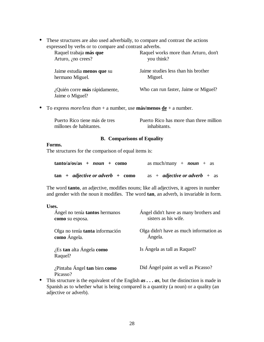• These structures are also used adverbially, to compare and contrast the actions expressed by verbs or to compare and contrast adverbs.

| Raquel works more than Arturo, don't<br>you think? |
|----------------------------------------------------|
| Jaime studies less than his brother<br>Miguel.     |
| Who can run faster, Jaime or Miguel?               |
|                                                    |

• To express *more/less than* + a number, use **más/menos**  $de + a$  number.

| Puerto Rico tiene más de tres | Puerto Rico has more than three million |
|-------------------------------|-----------------------------------------|
| millones de habitantes.       | inhabitants.                            |

## **B. Comparisons of Equality**

## **Forms.**

The structures for the comparison of equal items is:

| $tanto/a/os/as + noun + como$                         | as much/many + $noun$ + as           |
|-------------------------------------------------------|--------------------------------------|
| $\tan + \textit{adjective or adverb} + \textit{como}$ | as + <i>adjective or adverb</i> + as |

The word **tanto**, an adjective, modifies nouns; like all adjectives, it agrees in number and gender with the noun it modifies. The word **tan**, an adverb, is invariable in form.

| Uses.                                                    |                                                                |
|----------------------------------------------------------|----------------------------------------------------------------|
| Ángel no tenía <b>tantos</b> hermanos<br>como su esposa. | Angel didn't have as many brothers and<br>sisters as his wife. |
| Olga no tenía <b>tanta</b> información<br>como Ángela.   | Olga didn't have as much information as<br>Ángela.             |
| $i$ Es tan alta Ángela como<br>Raquel?                   | Is Ángela as tall as Raquel?                                   |
| ¿Pintaba Ángel tan bien como<br>Picasso?                 | Did Ángel paint as well as Picasso?                            |

• This structure is the equivalent of the English *as . . . as*, but the distinction is made in Spanish as to whether what is being compared is a quantity (a noun) or a quality (an adjective or adverb).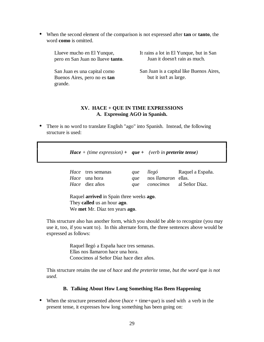• When the second element of the comparison is not expressed after **tan** or **tanto**, the word **como** is omitted.

Llueve mucho en El Yunque, pero en San Juan no llueve **tanto**. It rains a lot in El Yunque, but in San Juan it doesn't rain as much.

San Juan es una capital como Buenos Aires, pero no es **tan** grande.

San Juan is a capital like Buenos Aires, but it isn't as large.

## **XV. HACE + QUE IN TIME EXPRESSIONS A. Expressing AGO in Spanish.**

• There is no word to translate English "ago" into Spanish. Instead, the following structure is used:

*Hace + (time expression) + que + (verb in preterite tense)*

| <i>Hace</i> tres semanas | que llegó                             | Raquel a España.             |
|--------------------------|---------------------------------------|------------------------------|
| <i>Hace</i> una hora     | <i>que</i> nos <i>llamaron</i> ellas. |                              |
| <i>Hace</i> diez años    |                                       | que conocimos al Señor Díaz. |

Raquel **arrived** in Spain three weeks **ago**. They **called** us an hour **ago**. We **met** Mr. Díaz ten years **ago**.

This structure also has another form, which you should be able to recognize (you may use it, too, if you want to). In this alternate form, the three sentences above would be expressed as follows:

> Raquel llegó a España hace tres semanas. Ellas nos llamaron hace una hora. Conocimos al Señor Díaz hace diez años.

This structure retains the use of *hace* and *the preterite* tense, *but the word* que *is not used*.

## **B. Talking About How Long Something Has Been Happening**

• When the structure presented above (*hace* + time+*que*) is used with a verb in the present tense, it expresses how long something has been going on: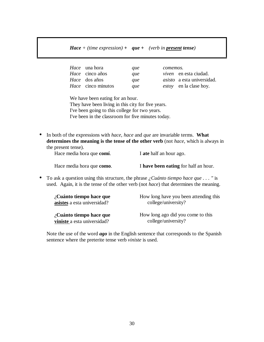## *Hace + (time expression) + que + (verb in present tense)*

| <i>Hace</i> una hora      | que | comemos. |                                   |
|---------------------------|-----|----------|-----------------------------------|
| <i>Hace</i> cinco años    | que |          | <i>viven</i> en esta ciudad.      |
| <i>Hace</i> dos años      | que |          | <i>asisto</i> a esta universidad. |
| <i>Hace</i> cinco minutos | que |          | <i>estoy</i> en la clase hoy.     |

We have been eating for an hour. They have been living in this city for five years. I've been going to this college for two years.

I've been in the classroom for five minutes today.

• In both of the expressions with *hace*, *hace* and *que* are invariable terms. **What determines the meaning is the tense of the other verb** (not *hace*, which is always in the present tense).

| Hace media hora que comí. | I ate half an hour ago.              |
|---------------------------|--------------------------------------|
| Hace media hora que como. | I have been eating for half an hour. |

• To ask a question using this structure, the phrase *¿Cuánto tiempo hace que . . . "* is used. Again, it is the tense of the other verb (not *hace*) that determines the meaning.

| $\lambda$ Cuánto tiempo hace que | How long have you been attending this |
|----------------------------------|---------------------------------------|
| asistes a esta universidad?      | college/university?                   |
| $\lambda$ Cuánto tiempo hace que | How long ago did you come to this     |
| viniste a esta universidad?      | college/university?                   |

Note the use of the word *ago* in the English sentence that corresponds to the Spanish sentence where the preterite tense verb *viniste* is used.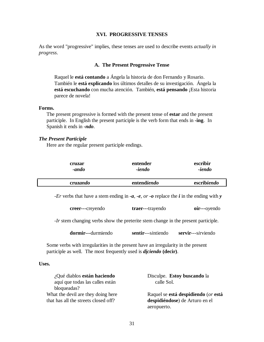#### **XVI. PROGRESSIVE TENSES**

As the word "progressive" implies, these tenses are used to describe events *actually in progress*.

#### **A. The Present Progressive Tense**

Raquel le **está contando** a Ángela la historia de don Fernando y Rosario. También le **está explicando** los últimos detalles de su investigación. Ángela la **está escuchando** con mucha atención. También, **está pensando** ¡Esta historia parece de novela!

#### **Forms.**

The present progressive is formed with the present tense of **estar** and the present participle. In English the present participle is the verb form that ends in **-ing**. In Spanish it ends in *-ndo*.

#### *The Present Participle*

Here are the regular present participle endings.

| cruzar | entender | escribir |
|--------|----------|----------|
| -ando  | -iendo   | -iendo   |

*-Er* verbs that have a stem ending in *-a, -e, or -o* replace the *i* in the ending with *y*

| creer---crevendo | traer---travendo | $oir--ovendo$ |
|------------------|------------------|---------------|
|                  |                  |               |

*-Ir* stem changing verbs show the preterite stem change in the present participle.

**dormir---**d*u*rmiendo **sentir**---s*i*ntiendo **servir**---s*i*rviendo

Some verbs with irregularities in the present have an irregularity in the present participle as well. The most frequently used is *diciendo* **(decir)**.

#### **Uses.**

| ¿Qué diablos están haciendo          | Disculpe. Estoy buscando la         |
|--------------------------------------|-------------------------------------|
| aquí que todas las calles están      | calle Sol.                          |
| bloqueadas?                          |                                     |
| What the devil are they doing here   | Raquel se está despidiendo (or está |
| that has all the streets closed off? | despidiéndose) de Arturo en el      |
|                                      | aeropuerto.                         |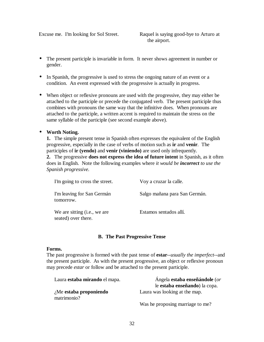Excuse me. I'm looking for Sol Street. Raquel is saying good-bye to Arturo at the airport.

- The present participle is invariable in form. It never shows agreement in number or gender.
- In Spanish, the progressive is used to stress the ongoing nature of an event or a condition. An event expressed with the progressive is actually in progress.
- When object or reflexive pronouns are used with the progressive, they may either be attached to the participle or precede the conjugated verb. The present participle thus combines with pronouns the same way that the infinitive does. When pronouns are attached to the participle, a written accent is required to maintain the stress on the same syllable of the participle (see second example above).

## • **Worth Noting.**

**1.** The simple present tense in Spanish often expresses the equivalent of the English progressive, especially in the case of verbs of motion such as **ir** and **venir**. The participles of **ir (yendo)** and **venir (viniendo)** are used only infrequently.

**2.** The progressive **does not express the idea of future intent** in Spanish, as it often does in English. Note the following examples where *it would be incorrect to use the Spanish progressive.*

| I'm going to cross the street.                      | Voy a cruzar la calle.        |
|-----------------------------------------------------|-------------------------------|
| I'm leaving for San Germán<br>tomorrow.             | Salgo mañana para San Germán. |
| We are sitting (i.e., we are<br>seated) over there. | Estamos sentados allí.        |

## **B. The Past Progressive Tense**

#### **Forms.**

The past progressive is formed with the past tense of **estar**--*usually the imperfect*--and the present participle. As with the present progressive, an object or reflexive pronoun may precede *estar* or follow and be attached to the present participle.

| Laura estaba mirando el mapa. | Ángela estaba enseñándole (or    |
|-------------------------------|----------------------------------|
|                               | le estaba enseñando) la copa.    |
| $i$ Me estaba proponiendo     | Laura was looking at the map.    |
| matrimonio?                   |                                  |
|                               | Was he proposing marriage to me? |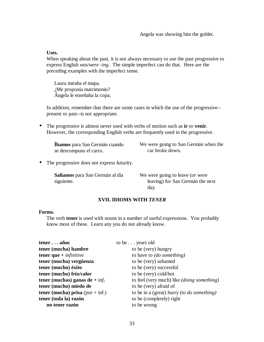Angela was showing him the goblet.

#### **Uses.**

When speaking about the past, it is not always necessary to use the past progressive to express English *was/were -ing*. The simple imperfect can do that. Here are the preceding examples with the imperfect tense.

Laura miraba el mapa. ¿Me proponía matrimonio? Ángela le enseñaba la copa.

In addition, remember that there are some cases in which the use of the progressive- present or past--is not appropriate.

• The progressive is almost never used with verbs of motion such as **ir** or **venir**. However, the corresponding English verbs are frequently used in the progressive.

**Íbamos** para San Germán cuando se descompuso el carro.

We were going to San Germán when the car broke down.

• The progressive does not express futurity.

**Salíamos** para San Germán al día siguiente.

We were going to leave (*or* were leaving) for San Germán the next day.

#### **XVII. IDIOMS WITH** *TENER*

#### **Forms.**

The verb **tener** is used with nouns in a number of useful expressions. You probably know most of these. Learn any you do not already know.

| teneraños                          | to be years old                                   |
|------------------------------------|---------------------------------------------------|
| tener (mucha) hambre               | to be (very) hungry                               |
| tener que $+$ infinitive           | to have to (do something)                         |
| tener (mucha) vergüenza            | to be (very) ashamed                              |
| tener (mucho) éxito                | to be (very) successful                           |
| tener (mucho) frío/calor           | to be (very) cold/hot                             |
| tener (muchas) ganas de + $\inf$ . | to feel (very much) like <i>(doing something)</i> |
| tener (mucho) miedo de             | to be (very) afraid of                            |
| tener (mucha) prisa (por $+$ inf.) | to be in a (great) hurry <i>(to do something)</i> |
| tener (toda la) razón              | to be (completely) right                          |
| no tener razón                     | to be wrong                                       |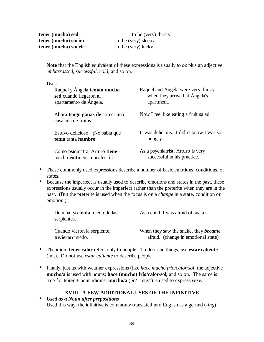| tener (mucha) sed    | to be (very) thirsty |
|----------------------|----------------------|
| tener (mucho) sueño  | to be (very) sleepy  |
| tener (mucha) suerte | to be (very) lucky   |

**Note** that the English equivalent of these expressions is usually *to be* plus an adjective: *embarrassed, successful, cold,* and so on.

#### **Uses.**

| Raquel y Ángela tenían mucha                                 | Raquel and Ángela were very thirsty      |
|--------------------------------------------------------------|------------------------------------------|
| sed cuando llegaron al                                       | when they arrived at Ángela's            |
| apartamento de Ángela.                                       | apartment.                               |
| Ahora <b>tengo ganas de</b> comer una<br>ensalada de frutas. | Now I feel like eating a fruit salad.    |
| Estuvo delicioso. ¡No sabía que                              | It was delicious. I didn't know I was so |
| tenía tanta hambre!                                          | hungry.                                  |
| Como psiquiatra, Arturo tiene                                | As a psychiatrist, Arturo is very        |
| mucho éxito en su profesión.                                 | successful in his practice.              |

- These commonly used expressions describe a number of basic emotions, conditions, or states.
- Because the imperfect is usually used to describe emotions and states in the past, these expressions usually occur in the imperfect rather than the preterite when they are in the past. (But the preterite is used when the focus is on a *change* in a state, condition or emotion.)

| De niña, yo <b>tenía</b> miedo de las<br>serpientes. | As a child, I was afraid of snakes.         |
|------------------------------------------------------|---------------------------------------------|
| Cuando vieron la serpiente,                          | When they saw the snake, they <b>became</b> |
| tuvieron miedo.                                      | afraid. (change in emotional state)         |

- The idiom **tener calor** refers only to people. To describe things, use **estar caliente** (hot). Do not use *estar caliente* to describe people.
- Finally, just as with weather expressions (like *hace mucho frío/calor/sol*, the adjective **mucho/a** is used with nouns: **hace (mucho) frío/calor/sol,** and so on. The same is true for **tener** + noun idioms: **mucho/a** (*not* "muy") is used to express *very.*

## **XVIII. A FEW ADDITIONAL USES OF THE INFINITIVE**

• *Used as a Noun after prepositions* Used this way, the infinitive is commonly translated into English as a gerund (*-ing*)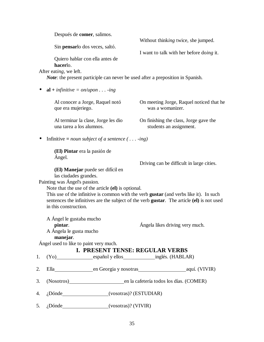Después de **comer**, salimos. Sin **pensar**lo dos veces, saltó. Quiero hablar con ella antes de **hacer**lo. After eat*ing*, we left. Without think*ing* twice, she jumped. I want to talk with her before do*ing* it. *Note*: the present participle can never be used after a preposition in Spanish. •  $al +$  *infinitive = on/upon* . . . -*ing* Al conocer a Jorge, Raquel notó que era mujeriego. Al terminar la clase, Jorge les dio una tarea a los alumnos. On meeting Jorge, Raquel noticed that he was a womanizer. On finishing the class, Jorge gave the students an assignment. • Infinitive *= noun subject of a sentence ( . . . -ing)* **(El) Pintar** era la pasión de Ángel. **(El) Manejar** puede ser difícil en las ciudades grandes. Painting was Ángel's passion. Driving can be difficult in large cities. Note that the use of the article **(el)** is optional. This use of the infinitive is common with the verb **gustar** (and verbs like it). In such sentences the infinitives are the subject of the verb **gustar**. The article **(el)** is not used in this construction. A Ángel le gustaba mucho **pintar**. A Ángela le gusta mucho **manejar**. Ángel used to like to paint very much. Ángela likes driving very much. **I. PRESENT TENSE: REGULAR VERBS** 1. (Yo) español y ellos inglés. (HABLAR) 2. Ella en Georgia y nosotras aquí. (VIVIR) 3. (Nosotros) en la cafetería todos los días. (COMER) 4. ¿Dónde (vosotras)? (ESTUDIAR) 5. ¿Dónde (vosotras)? (VIVIR)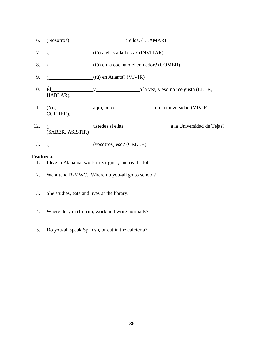- 6. (Nosotros) a ellos. (LLAMAR)
- 7.  $i$  ( $(i)$ ) a ellas a la fiesta? (INVITAR)
- 8. *i* (tú) en la cocina o el comedor? (COMER)
- 9.  $i$  (tú) en Atlanta? (VIVIR)
- 10. Él y y a la vez, y eso no me gusta (LEER, HABLAR).
- 11. (Yo) aquí, pero en la universidad (VIVIR, CORRER).
- 12. *i* ustedes si ellas a la Universidad de Tejas? (SABER, ASISTIR)
- 13.  $i$  (vosotros) eso? (CREER)

- 1. I live in Alabama, work in Virginia, and read a lot.
- 2. We attend R-MWC. Where do you-all go to school?
- 3. She studies, eats and lives at the library!
- 4. Where do you (tú) run, work and write normally?
- 5. Do you-all speak Spanish, or eat in the cafeteria?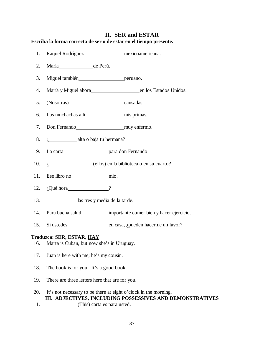# **II. SER and ESTAR Escriba la forma correcta de ser o de estar en el tiempo presente.**

- 1. Raquel Rodríguez mexicoamericana.
- 2. María de Perú.
- 3. Miguel también peruano.
- 4. María y Miguel ahora en los Estados Unidos.
- 5. (Nosotras) cansadas.
- 6. Las muchachas allí mis primas.
- 7. Don Fernando muy enfermo.
- 8. *i* alta o baja tu hermana?
- 9. La carta para don Fernando.
- 10. *i* (ellos) en la biblioteca o en su cuarto?
- 11. Ese libro no mío.
- 12. *i*Qué hora ?
- 13. las tres y media de la tarde.
- 14. Para buena salud, importante comer bien y hacer ejercicio.
- 15. Si ustedes en casa, ¿pueden hacerme un favor?

## **Traduzca: SER, ESTAR, HAY**

- 16. Marta is Cuban, but now she's in Uruguay.
- 17. Juan is here with me; he's my cousin.
- 18. The book is for you. It's a good book.
- 19. There are three letters here that are for you.
- 20. It's not necessary to be there at eight o'clock in the morning. **III. ADJECTIVES, INCLUDING POSSESSIVES AND DEMONSTRATIVES**
- 1. (This) carta es para usted.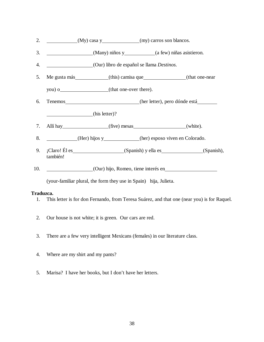- 2. (My) casa y (my) carros son blancos.
- 3. (Many) niños y (a few) niñas asistieron.
- 4. (Our) libro de español se llama *Destinos*.
- 5. Me gusta más (this) camisa que (that one-near
	- you) o (that one-over there).
- 6. Tenemos (her letter), pero dónde está

(his letter)?

- 7. Allí hay (five) mesas (white).
- 8. (Her) hijos y (her) esposo viven en Colorado.
- 9. ¡Claro! Él es (Spanish) y ella es (Spanish), (Spanish), también!
- 10. (Our) hijo, Romeo, tiene interés en

(your-familiar plural, the form they use in Spain) hija, Julieta.

- 1. This letter is for don Fernando, from Teresa Suárez, and that one (near you) is for Raquel.
- 2. Our house is not white; it is green. Our cars are red.
- 3. There are a few very intelligent Mexicans (females) in our literature class.
- 4. Where are my shirt and my pants?
- 5. Marisa? I have her books, but I don't have her letters.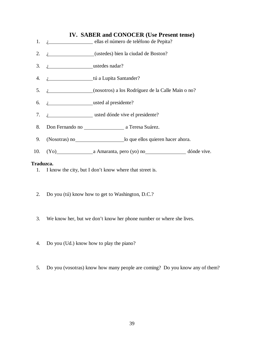# **IV. SABER and CONOCER (Use Present tense)**

- 1. *i* ellas el número de teléfono de Pepita?
- 2.  $i$  (ustedes) bien la ciudad de Boston?
- 3. *i* ustedes nadar?
- 4. *i* tú a Lupita Santander?
- 5. ¿ (nosotros) a los Rodríguez de la Calle Main o no?
- 6. ¿ usted al presidente?
- 7. *i* usted dónde vive el presidente?
- 8. Don Fernando no a Teresa Suárez.
- 9. (Nosotras) no lo que ellos quieren hacer ahora.
- 10. (Yo) a Amaranta, pero (yo) no dónde vive.

- 1. I know the city, but I don't know where that street is.
- 2. Do you (tú) know how to get to Washington, D.C.?
- 3. We know her, but we don't know her phone number or where she lives.
- 4. Do you (Ud.) know how to play the piano?
- 5. Do you (vosotras) know how many people are coming? Do you know any of them?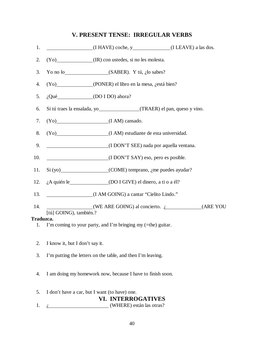# **V. PRESENT TENSE: IRREGULAR VERBS**

| 1.        | $(I HAVE) code, y$ (I LEAVE) a las dos.                                    |
|-----------|----------------------------------------------------------------------------|
| 2.        | (Yo) (IR) con ustedes, si no les molesta.                                  |
| 3.        |                                                                            |
| 4.        | (Yo) (PONER) el libro en la mesa, ¿está bien?                              |
| 5.        | $i,$ Qué $\qquad \qquad \qquad$ (DO I DO) ahora?                           |
| 6.        |                                                                            |
| 7.        | $(Yo)$ (I AM) cansado.                                                     |
| 8.        | (Yo) (I AM) estudiante de esta universidad.                                |
| 9.        | (I DON'T SEE) nada por aquella ventana.                                    |
| 10.       | (I DON'T SAY) eso, pero es posible.                                        |
|           | 11. Si (yo) (COME) temprano, ¿me puedes ayudar?                            |
| 12.       |                                                                            |
| 13.       | (I AM GOING) a cantar "Cielito Lindo."                                     |
| 14.       | $(WE ARE GOING)$ al concierto. $\iota$ (ARE YOU)<br>[tú] GOING), también.? |
| Traduzca. |                                                                            |
| 1.        | I'm coming to your party, and I'm bringing my (=the) guitar.               |
| 2.        | I know it, but I don't say it.                                             |
| 3.        | I'm putting the letters on the table, and then I'm leaving.                |
| 4.        | I am doing my homework now, because I have to finish soon.                 |
| 5.        | I don't have a car, but I want (to have) one.                              |
|           | <b>VI. INTERROGATIVES</b>                                                  |
| 1.        | (WHERE) están las otras?                                                   |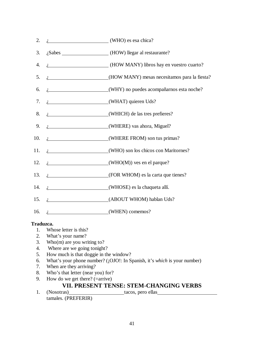2.  $i$  (WHO) es esa chica? 3. *i*Sabes (HOW) llegar al restaurante? 4. ¿ (HOW MANY) libros hay en vuestro cuarto? 5. ¿ (HOW MANY) mesas necesitamos para la fiesta? 6. ¿ (WHY) no puedes acompañarnos esta noche? 7.  $i_{\text{r}}$  (WHAT) quieren Uds? 8. *i* (WHICH) de las tres prefieres? 9. *i* (WHERE) vas ahora, Miguel? 10. *i* (WHERE FROM) son tus primas? 11. *i* (WHO) son los chicos con Maritornes? 12.  $i$  (WHO(M)) ves en el parque? 13. *i* (FOR WHOM) es la carta que tienes? 14. *i* (WHOSE) es la chaqueta allí. 15. *i* (ABOUT WHOM) hablan Uds? 16. *i* (WHEN) comemos?

# **Traduzca.**

- 1. Whose letter is this?
- 2. What's your name?
- 3. Who(m) are you writing to?
- 4. Where are we going tonight?
- 5. How much is that doggie in the window?
- 6. What's your phone number? (¡OJO!: In Spanish, it's *which* is your number)
- 7. When are they arriving?
- 8. Who's that letter (near you) for?
- 9. How do we get there?  $(=\text{arrive})$

# **VII. PRESENT TENSE: STEM-CHANGING VERBS**

1. (Nosotras) tacos, pero ellas tamales. (PREFERIR)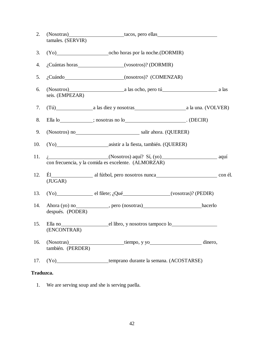| 2.  | tamales. (SERVIR) | (Nosotras) tacos, pero ellas                                                                           |  |
|-----|-------------------|--------------------------------------------------------------------------------------------------------|--|
| 3.  |                   |                                                                                                        |  |
| 4.  |                   | ¿Cuántas horas___________________(vosotros)? (DORMIR)                                                  |  |
| 5.  |                   | ¿Cuándo__________________________(nosotros)? (COMENZAR)                                                |  |
| 6.  | seis. (EMPEZAR)   | (Nosotros) a las ocho, pero tú                                                                         |  |
| 7.  |                   |                                                                                                        |  |
| 8.  |                   |                                                                                                        |  |
| 9.  |                   | (Nosotros) no<br><u>Conservation</u> salir ahora. (QUERER)                                             |  |
| 10. |                   |                                                                                                        |  |
| 11. |                   | <i>i</i> , (Nosotros) aquí? Sí, (yo) aquí aquí<br>con frecuencia, y la comida es excelente. (ALMORZAR) |  |
| 12. | (JUGAR)           |                                                                                                        |  |
| 13. |                   | $(Yo)$ el filete; ${}_{i}Qué$ (vosotras)? (PEDIR)                                                      |  |
| 14. | después. (PODER)  |                                                                                                        |  |
|     | (ENCONTRAR)       | 15. Ella no el libro, y nosotros tampoco lo                                                            |  |
| 16. | también. (PERDER) | (Nosotras) tiempo, y yo<br>dinero,                                                                     |  |
| 17. |                   | (Yo) _______________________temprano durante la semana. (ACOSTARSE)                                    |  |

# **Traduzca.**

1. We are serving soup and she is serving paella.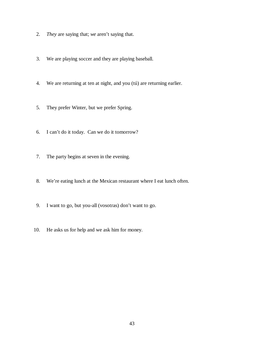- 2. *They* are saying that; *we* aren't saying that.
- 3. We are playing soccer and they are playing baseball.
- 4. We are returning at ten at night, and you (tú) are returning earlier.
- 5. They prefer Winter, but we prefer Spring.
- 6. I can't do it today. Can we do it tomorrow?
- 7. The party begins at seven in the evening.
- 8. We're eating lunch at the Mexican restaurant where I eat lunch often.
- 9. I want to go, but you-all (vosotras) don't want to go.
- 10. He asks us for help and we ask him for money.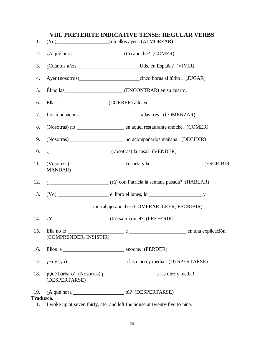| 1.              |                        | VIII. PRETERITE INDICATIVE TENSE: REGULAR VERBS<br>(Yo) con ellos ayer. (ALMORZAR) |
|-----------------|------------------------|------------------------------------------------------------------------------------|
| 2.              |                        |                                                                                    |
| 3.              |                        | ¿Cuántos años Uds. en España? (VIVIR)                                              |
| 4.              |                        |                                                                                    |
| 5.              |                        |                                                                                    |
| 6.              |                        |                                                                                    |
| 7.              |                        |                                                                                    |
| 8.              |                        |                                                                                    |
| 9.              |                        | (Nosotras) ___________________________ no acompañarlos mañana. (DECIDIR)           |
| 10.             |                        | $i$ (vosotras) la casa? (VENDER)                                                   |
| 11.             | <b>MANDAR</b> )        |                                                                                    |
| 12.             |                        | i. (tú) con Patricia la semana pasada? (HABLAR)                                    |
| 13.             |                        | $(Yo)$ el libro el lunes, lo $\frac{1}{1}$ y                                       |
|                 |                        | mi trabajo anoche. (COMPRAR, LEER, ESCRIBIR)                                       |
|                 |                        |                                                                                    |
| 15.             | (COMPRENDER, INSISTIR) | Ella no lo seu el seu el seu el seu el seu en una explicación.                     |
| 16.             |                        | Ellos la 2000 anoche. (PERDER)                                                     |
| 17.             |                        |                                                                                    |
| 18.             | (DESPERTARSE)          |                                                                                    |
| 19.             |                        |                                                                                    |
| Traduzca.<br>1. |                        |                                                                                    |
|                 |                        | I woke up at seven thirty, ate, and left the house at twenty-five to nine.         |

# 44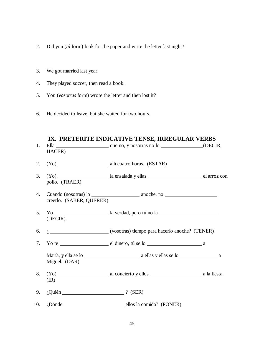- 2. Did you (*tú* form) look for the paper and write the letter last night?
- 3. We got married last year.
- 4. They played soccer, then read a book.
- 5. You (*vosotras* form) wrote the letter and then lost it?
- 6. He decided to leave, but she waited for two hours.

# **IX. PRETERITE INDICATIVE TENSE, IRREGULAR VERBS**

| 1.  | HACER)                          |                                                    |  |
|-----|---------------------------------|----------------------------------------------------|--|
| 2.  |                                 |                                                    |  |
| 3.  | pollo. (TRAER)                  |                                                    |  |
| 4.  | creerlo. (SABER, QUERER)        |                                                    |  |
| 5.  | (DECIR).                        |                                                    |  |
| 6.  |                                 | $i$ (vosotras) tiempo para hacerlo anoche? (TENER) |  |
| 7.  |                                 |                                                    |  |
|     | Miguel. (DAR)                   |                                                    |  |
| 8.  | (IR)                            |                                                    |  |
| 9.  | $i$ Quién $\qquad \qquad$ (SER) |                                                    |  |
| 10. |                                 | <i>i</i> Dónde ellos la comida? (PONER)            |  |
|     |                                 |                                                    |  |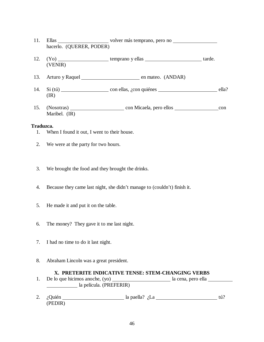- 11. Ellas volver más temprano, pero no hacerlo. (QUERER, PODER)
- 12. (Yo) temprano y ellas tarde. (VENIR)
- 13. Arturo y Raquel en mateo. (ANDAR)
- 14. Si (tú) con ellas, ¿con quiénes ella? (IR)
- 15. (Nosotras) con Micaela, pero ellos con Maribel. (IR)

## **Traduzca.**

- 1. When I found it out, I went to their house.
- 2. We were at the party for two hours.
- 3. We brought the food and they brought the drinks.
- 4. Because they came last night, she didn't manage to (couldn't) finish it.
- 5. He made it and put it on the table.
- 6. The money? They gave it to me last night.
- 7. I had no time to do it last night.
- 8. Abraham Lincoln was a great president.

## **X. PRETERITE INDICATIVE TENSE: STEM-CHANGING VERBS**

- 1. De lo que hicimos anoche, (yo) la cena, pero ella <u>la cena, pero ella</u> la cena, pero ella <u>la cena, pero ella</u> la cena, pero ella la cena, pero ella la cena, pero ella la cena, pero ella la cena, pero ella la cena, pero la película. (PREFERIR)
- 2. ¿Quién la paella? ¿La de la paella? el a paella? el a paella? el a tú? (PEDIR)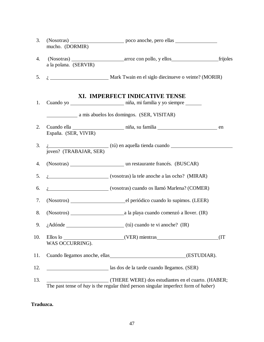| 4.<br>a la polana. (SERVIR)<br>5.<br>$i_{\rm s}$ Mark Twain en el siglo diecinueve o veinte? (MORIR)<br>XI. IMPERFECT INDICATIVE TENSE<br>1.<br>a mis abuelos los domingos. (SER, VISITAR)<br>2.<br>España. (SER, VIVIR)<br>3.<br>$i$ $\frac{1}{2}$ $\frac{1}{2}$ $\frac{1}{2}$ $\frac{1}{2}$ $\frac{1}{2}$ $\frac{1}{2}$ $\frac{1}{2}$ $\frac{1}{2}$ $\frac{1}{2}$ $\frac{1}{2}$ $\frac{1}{2}$ $\frac{1}{2}$ $\frac{1}{2}$ $\frac{1}{2}$ $\frac{1}{2}$ $\frac{1}{2}$ $\frac{1}{2}$ $\frac{1}{2}$ $\frac{1}{2}$ $\frac{1}{2}$ $\frac{1}{2}$ $\frac{1}{2$<br>joven? (TRABAJAR, SER)<br>4.<br>i. (vosotras) la tele anoche a las ocho? (MIRAR)<br>5.<br><i>i</i> . (vosotras) cuando os llamó Marlena? (COMER)<br>6.<br>7.<br>8.<br>9.<br>10.<br>(IT)<br>WAS OCCURRING).<br>Cuando llegamos anoche, ellas<br>11.<br>(ESTUDIAR).<br>12.<br>as dos de la tarde cuando llegamos. (SER) | 3.  | mucho. (DORMIR) |  |
|-----------------------------------------------------------------------------------------------------------------------------------------------------------------------------------------------------------------------------------------------------------------------------------------------------------------------------------------------------------------------------------------------------------------------------------------------------------------------------------------------------------------------------------------------------------------------------------------------------------------------------------------------------------------------------------------------------------------------------------------------------------------------------------------------------------------------------------------------------------------------------------|-----|-----------------|--|
|                                                                                                                                                                                                                                                                                                                                                                                                                                                                                                                                                                                                                                                                                                                                                                                                                                                                                   |     |                 |  |
|                                                                                                                                                                                                                                                                                                                                                                                                                                                                                                                                                                                                                                                                                                                                                                                                                                                                                   |     |                 |  |
|                                                                                                                                                                                                                                                                                                                                                                                                                                                                                                                                                                                                                                                                                                                                                                                                                                                                                   |     |                 |  |
|                                                                                                                                                                                                                                                                                                                                                                                                                                                                                                                                                                                                                                                                                                                                                                                                                                                                                   |     |                 |  |
|                                                                                                                                                                                                                                                                                                                                                                                                                                                                                                                                                                                                                                                                                                                                                                                                                                                                                   |     |                 |  |
|                                                                                                                                                                                                                                                                                                                                                                                                                                                                                                                                                                                                                                                                                                                                                                                                                                                                                   |     |                 |  |
|                                                                                                                                                                                                                                                                                                                                                                                                                                                                                                                                                                                                                                                                                                                                                                                                                                                                                   |     |                 |  |
|                                                                                                                                                                                                                                                                                                                                                                                                                                                                                                                                                                                                                                                                                                                                                                                                                                                                                   |     |                 |  |
|                                                                                                                                                                                                                                                                                                                                                                                                                                                                                                                                                                                                                                                                                                                                                                                                                                                                                   |     |                 |  |
|                                                                                                                                                                                                                                                                                                                                                                                                                                                                                                                                                                                                                                                                                                                                                                                                                                                                                   |     |                 |  |
|                                                                                                                                                                                                                                                                                                                                                                                                                                                                                                                                                                                                                                                                                                                                                                                                                                                                                   |     |                 |  |
|                                                                                                                                                                                                                                                                                                                                                                                                                                                                                                                                                                                                                                                                                                                                                                                                                                                                                   |     |                 |  |
|                                                                                                                                                                                                                                                                                                                                                                                                                                                                                                                                                                                                                                                                                                                                                                                                                                                                                   |     |                 |  |
|                                                                                                                                                                                                                                                                                                                                                                                                                                                                                                                                                                                                                                                                                                                                                                                                                                                                                   |     |                 |  |
|                                                                                                                                                                                                                                                                                                                                                                                                                                                                                                                                                                                                                                                                                                                                                                                                                                                                                   |     |                 |  |
| (THERE WERE) dos estudiantes en el cuarto. (HABER;<br>The past tense of hay is the regular third person singular imperfect form of haber)                                                                                                                                                                                                                                                                                                                                                                                                                                                                                                                                                                                                                                                                                                                                         | 13. |                 |  |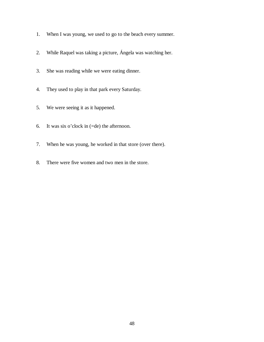- 1. When I was young, we used to go to the beach every summer.
- 2. While Raquel was taking a picture, Ángela was watching her.
- 3. She was reading while we were eating dinner.
- 4. They used to play in that park every Saturday.
- 5. We were seeing it as it happened.
- 6. It was six o'clock in  $(=de)$  the afternoon.
- 7. When he was young, he worked in that store (over there).
- 8. There were five women and two men in the store.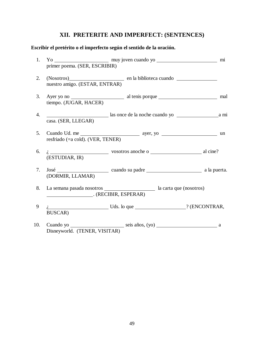# **XII. PRETERITE AND IMPERFECT: (SENTENCES)**

## **Escribir el pretérito o el imperfecto según el sentido de la oración.**

| 1.  | primer poema. (SER, ESCRIBIR)        |                                                          |  |
|-----|--------------------------------------|----------------------------------------------------------|--|
| 2.  | nuestro amigo. (ESTAR, ENTRAR)       | (Nosotros) en la biblioteca cuando                       |  |
| 3.  | tiempo. (JUGAR, HACER)               |                                                          |  |
| 4.  | casa. (SER, LLEGAR)                  | ami ami alla sonce de la noche cuando yo alla mi         |  |
| 5.  | resfriado ( $=a$ cold). (VER, TENER) |                                                          |  |
| 6.  | (ESTUDIAR, IR)                       | $i \rightarrow$ vosotros anoche o $\rightarrow$ al cine? |  |
| 7.  | (DORMIR, LLAMAR)                     |                                                          |  |
| 8.  | (RECIBIR, ESPERAR)                   |                                                          |  |
| 9   | <b>BUSCAR</b> )                      | $i$ Uds. lo que $\qquad \qquad$ ? (ENCONTRAR,            |  |
| 10. | Disneyworld. (TENER, VISITAR)        | Cuando yo seis años, (yo) seu a a                        |  |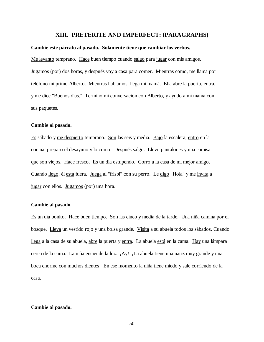#### **XIII. PRETERITE AND IMPERFECT: (PARAGRAPHS)**

#### **Cambie este párrafo al pasado. Solamente tiene que cambiar los verbos.**

Me levanto temprano. Hace buen tiempo cuando salgo para jugar con mis amigos. Jugamos (por) dos horas, y después voy a casa para comer. Mientras como, me llama por teléfono mi primo Alberto. Mientras hablamos, llega mi mamá. Ella abre la puerta, entra, y me dice "Buenos días." Termino mi conversación con Alberto, y ayudo a mi mamá con sus paquetes.

#### **Cambie al pasado.**

Es sábado y me despierto temprano. Son las seis y media. Bajo la escalera, entro en la cocina, preparo el desayuno y lo como. Después salgo. Llevo pantalones y una camisa que son viejos. Hace fresco. Es un día estupendo. Corro a la casa de mi mejor amigo. Cuando llego, él está fuera. Juega al "frisbi" con su perro. Le digo "Hola" y me invita a jugar con ellos. Jugamos (por) una hora.

#### **Cambie al pasado.**

Es un día bonito. Hace buen tiempo. Son las cinco y media de la tarde. Una niña camina por el bosque. Lleva un vestido rojo y una bolsa grande. Visita a su abuela todos los sábados. Cuando llega a la casa de su abuela, abre la puerta y entra. La abuela está en la cama. Hay una lámpara cerca de la cama. La niña enciende la luz. ¡Ay! ¡La abuela tiene una nariz muy grande y una boca enorme con muchos dientes! En ese momento la niña tiene miedo y sale corriendo de la casa.

#### **Cambie al pasado.**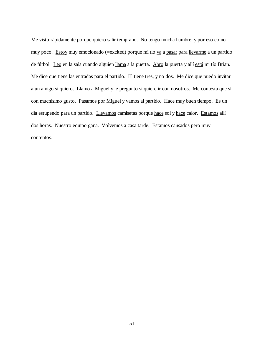Me visto rápidamente porque quiero salir temprano. No tengo mucha hambre, y por eso como muy poco. Estoy muy emocionado (=excited) porque mi tío va a pasar para llevarme a un partido de fútbol. Leo en la sala cuando alguien llama a la puerta. Abro la puerta y allí está mi tío Brian. Me dice que tiene las entradas para el partido. El tiene tres, y no dos. Me dice que puedo invitar a un amigo si quiero. Llamo a Miguel y le pregunto si quiere ir con nosotros. Me contesta que sí, con muchísimo gusto. Pasamos por Miguel y vamos al partido. Hace muy buen tiempo. Es un día estupendo para un partido. Llevamos camisetas porque hace sol y hace calor. Estamos allí dos horas. Nuestro equipo gana. Volvemos a casa tarde. Estamos cansados pero muy contentos.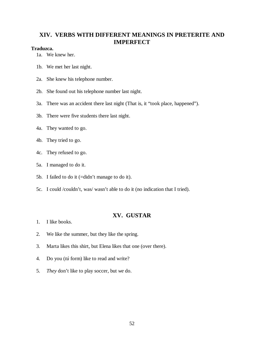# **XIV. VERBS WITH DIFFERENT MEANINGS IN PRETERITE AND IMPERFECT**

## **Traduzca.**

- 1a. We knew her.
- 1b. We met her last night.
- 2a. She knew his telephone number.
- 2b. She found out his telephone number last night.
- 3a. There was an accident there last night (That is, it "took place, happened").
- 3b. There were five students there last night.
- 4a. They wanted to go.
- 4b. They tried to go.
- 4c. They refused to go.
- 5a. I managed to do it.
- 5b. I failed to do it (=didn't manage to do it).
- 5c. I could /couldn't, was/ wasn't able to do it (no indication that I tried).

## **XV. GUSTAR**

- 1. I like books.
- 2. We like the summer, but they like the spring.
- 3. Marta likes this shirt, but Elena likes that one (over there).
- 4. Do you (*tú* form) like to read and write?
- 5. *They* don't like to play soccer, but *we* do.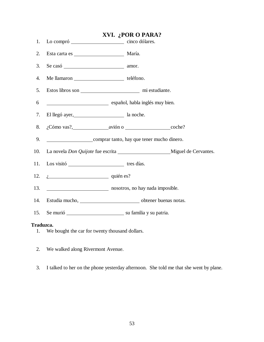|                 |                                                                                                        | XVI. ¿POR O PARA? |  |
|-----------------|--------------------------------------------------------------------------------------------------------|-------------------|--|
| 1.              |                                                                                                        |                   |  |
| 2.              | Esta carta es $\frac{1}{\sqrt{1-\frac{1}{2}}\sqrt{1-\frac{1}{2}}\left(\frac{1}{2}-\frac{1}{2}\right)}$ | María.            |  |
| 3.              |                                                                                                        |                   |  |
| 4.              | Me llamaron teléfono.                                                                                  |                   |  |
| 5.              |                                                                                                        |                   |  |
| 6               | español, habla inglés muy bien.                                                                        |                   |  |
| 7.              | El llegó ayer, and la noche.                                                                           |                   |  |
| 8.              | $i$ Cómo vas?, avión o coche?                                                                          |                   |  |
| 9.              | comprar tanto, hay que tener mucho dinero.                                                             |                   |  |
| 10.             |                                                                                                        |                   |  |
| 11.             |                                                                                                        |                   |  |
| 12.             | $i$ quién es?                                                                                          |                   |  |
| 13.             | nosotros, no hay nada imposible.                                                                       |                   |  |
| 14.             | Estudia mucho, este established a control de pobtener buenas notas.                                    |                   |  |
| 15.             |                                                                                                        |                   |  |
| Traduzca.<br>1. | We bought the car for twenty thousand dollars.                                                         |                   |  |

- We bought the car for twenty thousand dollars.
- 2. We walked along Rivermont Avenue.
- 3. I talked to her on the phone yesterday afternoon. She told me that she went by plane.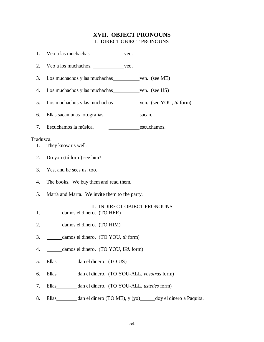# **XVII. OBJECT PRONOUNS** I. DIRECT OBJECT PRONOUNS

| 1.        | Veo a las muchachas. veo.                                  |             |                          |
|-----------|------------------------------------------------------------|-------------|--------------------------|
| 2.        | Veo a los muchachos. veo.                                  |             |                          |
| 3.        | Los muchachos y las muchachas ven. (see ME)                |             |                          |
| 4.        | Los muchachos y las muchachas _______________ven. (see US) |             |                          |
| 5.        | Los muchachos y las muchachas ven. (see YOU, tú form)      |             |                          |
| 6.        |                                                            |             |                          |
| 7.        | Escuchamos la música.                                      | escuchamos. |                          |
| Traduzca. |                                                            |             |                          |
| 1.        | They know us well.                                         |             |                          |
| 2.        | Do you (tú form) see him?                                  |             |                          |
| 3.        | Yes, and he sees us, too.                                  |             |                          |
| 4.        | The books. We buy them and read them.                      |             |                          |
| 5.        | María and Marta. We invite them to the party.              |             |                          |
|           | II. INDIRECT OBJECT PRONOUNS                               |             |                          |
| 1.        | damos el dinero. (TO HER)                                  |             |                          |
| 2.        | damos el dinero. (TO HIM)                                  |             |                          |
| 3.        | damos el dinero. (TO YOU, tú form)                         |             |                          |
| 4.        | damos el dinero. (TO YOU, Ud. form)                        |             |                          |
| 5.        | dan el dinero. (TO US)<br>Ellas                            |             |                          |
| 6.        | dan el dinero. (TO YOU-ALL, vosotras form)<br>Ellas        |             |                          |
| 7.        | dan el dinero. (TO YOU-ALL, ustedes form)<br>Ellas         |             |                          |
| 8.        | dan el dinero (TO ME), y (yo)<br>Ellas                     |             | doy el dinero a Paquita. |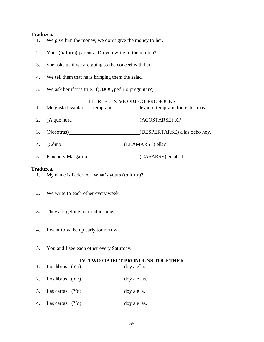#### **Traduzca.**

- 1. We give him the money; we don't give the money to her.
- 2. Your (*tú* form) parents. Do you write to them often?
- 3. She asks us if we are going to the concert with her.
- 4. We tell them that he is bringing them the salad.
- 5. We ask her if it is true. (¡OJO! ¿pedir o preguntar?)

#### III. REFLEXIVE OBJECT PRONOUNS

- 1. Me gusta levantar temprano. levanto temprano todos los días.
- 2. ¿A qué hora (ACOSTARSE) tú?
- 3. (Nosotras) (DESPERTARSE) a las ocho hoy.
- 4. ¿Cómo (LLAMARSE) ella?
- 5. Pancho y Margarita (CASARSE) en abril.

#### **Traduzca.**

- 1. My name is Federico. What's yours (*tú* form)?
- 2. We write to each other every week.
- 3. They are getting married in June.
- 4. I want to wake up early tomorrow.
- 5. You and I see each other every Saturday.

## **IV. TWO OBJECT PRONOUNS TOGETHER**

- 1. Los libros. (Yo) doy a ella.
- 2. Los libros.  $(Yo)$  doy a ellas.
- 3. Las cartas.  $(Y_0)$  doy a ella.
- 4. Las cartas. (Yo) doy a ellas.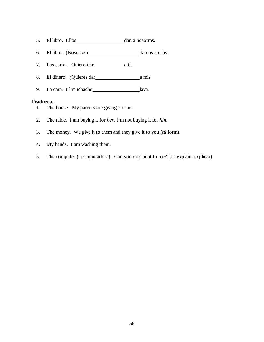- 5. El libro. Ellos dan a nosotras.
- 6. El libro. (Nosotras) damos a ellas.
- 7. Las cartas. Quiero dar<br>
<u>a</u> ti.
- 8. El dinero. ¿Quieres dar a mí?
- 9. La cara. El muchacho lava.

- 1. The house. My parents are giving it to us.
- 2. The table. I am buying it for *her*, I'm not buying it for *him*.
- 3. The money. We give it to them and they give it to you (*tú* form).
- 4. My hands. I am washing them.
- 5. The computer (=computadora). Can you explain it to me? (to explain=explicar)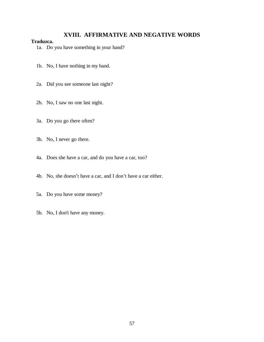# **XVIII. AFFIRMATIVE AND NEGATIVE WORDS**

- 1a. Do you have something in your hand?
- 1b. No, I have nothing in my hand.
- 2a. Did you see someone last night?
- 2b. No, I saw no one last night.
- 3a. Do you go there often?
- 3b. No, I never go there.
- 4a. Does she have a car, and do you have a car, too?
- 4b. No, she doesn't have a car, and I don't have a car either.
- 5a. Do you have some money?
- 5b. No, I don't have any money.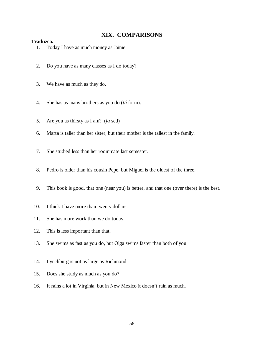## **XIX. COMPARISONS**

- 1. Today I have as much money as Jaime.
- 2. Do you have as many classes as I do today?
- 3. We have as much as they do.
- 4. She has as many brothers as you do (*tú* form).
- 5. Are you as thirsty as I am? (*la* sed)
- 6. Marta is taller than her sister, but their mother is the tallest in the family.
- 7. She studied less than her roommate last semester.
- 8. Pedro is older than his cousin Pepe, but Miguel is the oldest of the three.
- 9. This book is good, that one (near you) is better, and that one (over there) is the best.
- 10. I think I have more than twenty dollars.
- 11. She has more work than we do today.
- 12. This is less important than that.
- 13. She swims as fast as you do, but Olga swims faster than both of you.
- 14. Lynchburg is not as large as Richmond.
- 15. Does she study as much as you do?
- 16. It rains a lot in Virginia, but in New Mexico it doesn't rain as much.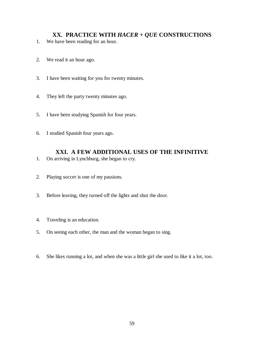# **XX. PRACTICE WITH** *HACER + QUE* **CONSTRUCTIONS**

- 1. We have been reading for an hour.
- 2. We read it an hour ago.
- 3. I have been waiting for you for twenty minutes.
- 4. They left the party twenty minutes ago.
- 5. I have been studying Spanish for four years.
- 6. I studied Spanish four years ago.

# **XXI. A FEW ADDITIONAL USES OF THE INFINITIVE**

- 1. On arriving in Lynchburg, she began to cry.
- 2. Playing soccer is one of my passions.
- 3. Before leaving, they turned off the lights and shut the door.
- 4. Traveling is an education.
- 5. On seeing each other, the man and the woman began to sing.
- 6. She likes running a lot, and when she was a little girl she used to like it a lot, too.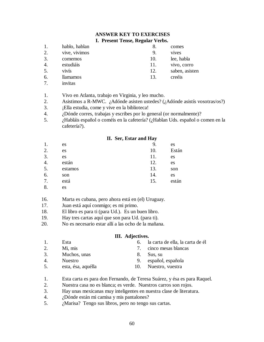#### **ANSWER KEY TO EXERCISES I. Present Tense, Regular Verbs.**

|    |                 | ີ   |                |
|----|-----------------|-----|----------------|
|    | hablo, hablan   |     | comes          |
|    | vive, vivimos   | 9.  | <b>VIVES</b>   |
| 3. | comemos         | 10. | lee, habla     |
|    | estudiáis       | 11. | vivo, corro    |
|    | vivís           | 12. | saben, asisten |
|    | <i>llamamos</i> |     | creéis         |

- 7. invitas
- 1. Vivo en Atlanta, trabajo en Virginia, y leo mucho.
- 2. Asistimos a R-MWC. ¿Adónde asisten ustedes? (¿Adónde asistís vosotras/os?)
- 3. **Ella estudia, come y vive en la biblioteca!**
- 4. ¿Dónde corres, trabajas y escribes por lo general (or normalmente)?
- 5. ¿Habláis español o coméis en la cafetería? (¿Hablan Uds. español o comen en la cafetería?).

#### **II. Ser, Estar and Hay**

| 1.       | es      | 9.  | es    |
|----------|---------|-----|-------|
| 2.       | es      | 10. | Están |
| 3.       | es      | 11. | es    |
| 4.       | están   | 12. | es    |
| 5.       | estamos | 13. | son   |
| 6.       | son     | 14. | es    |
| 7.       | está    | 15. | están |
| $\Omega$ |         |     |       |

- 8. es
- 16. Marta es cubana, pero ahora está en (el) Uruguay.
- 17. Juan está aquí conmigo; es mi primo.
- 18. El libro es para ti (para Ud.). Es un buen libro.
- 19. Hay tres cartas aquí que son para Ud. (para ti).
- 20. No es necesario estar allí a las ocho de la mañana.

## **III. Adjectives.**

| $\mathbf{1}$ . | Esta               | 6.  | la carta de ella, la carta de él |
|----------------|--------------------|-----|----------------------------------|
| 2.             | Mi, mis            |     | cinco mesas blancas              |
| 3.             | Muchos, unas       | 8.  | Sus, su                          |
| 4.             | <b>Nuestro</b>     |     | español, española                |
| 5.             | esta, ésa, aquélla | 10. | Nuestro, vuestra                 |
|                |                    |     |                                  |

- 1. Esta carta es para don Fernando, de Teresa Suárez, y ésa es para Raquel.
- 2. Nuestra casa no es blanca; es verde. Nuestros carros son rojos.
- 3. Hay unas mexicanas muy inteligentes en nuestra clase de literatura.
- 4. ¿Dónde están mi camisa y mis pantalones?
- 5. ¿Marisa? Tengo sus libros, pero no tengo sus cartas.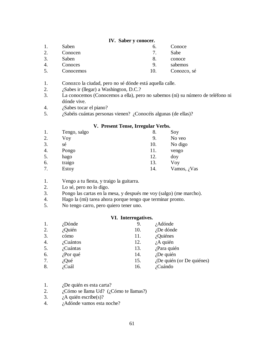## **IV. Saber y conocer.**

- 1. Saben 6. Conoce 2. Conocen 7. Sabe 3. Saben 8. conoce 4. Conoces 9. sabemos 5. Conocemos 10. Conozco, sé
- 1. Conozco la ciudad, pero no sé dónde está aquella calle.
- 2. *i*Sabes ir (llegar) a Washington, D.C.?
- 3. La conocemos (Conocemos a ella), pero no sabemos (ni) su número de teléfono ni dónde vive.
- 4. ¿Sabes tocar el piano?
- 5. ¿Sabéis cuántas personas vienen? ¿Conocéis algunas (de ellas)?

#### **V. Present Tense, Irregular Verbs.**

| 1. | Tengo, salgo | 8.  | Soy         |
|----|--------------|-----|-------------|
| 2. | Voy          | 9.  | No veo      |
| 3. | sé           | 10. | No digo     |
| 4. | Pongo        | 11. | vengo       |
| 5. | hago         | 12. | doy         |
| 6. | traigo       | 13. | Voy         |
| 7. | Estoy        | 14. | Vamos, ¿Vas |

- 1. Vengo a tu fiesta, y traigo la guitarra.
- 2. Lo sé, pero no lo digo.
- 3. Pongo las cartas en la mesa, y después me voy (salgo) (me marcho).
- 4. Hago la (mi) tarea ahora porque tengo que terminar pronto.
- 5. No tengo carro, pero quiero tener uno.

#### **VI. Interrogatives.**

| 1. | <i>i</i> Dónde | 9.  | $i$ Adónde                   |
|----|----------------|-----|------------------------------|
| 2. | ¿Quién         | 10. | $i$ De dónde                 |
| 3. | cómo           | 11. | $i$ Quiénes                  |
| 4. | ¿Cuántos       | 12. | $i$ A quién                  |
| 5. | ¿Cuántas       | 13. | ¿Para quién                  |
| 6. | $i$ Por qué    | 14. | $i$ De quién                 |
| 7. | $i$ Qué        | 15. | $i$ De quién (or De quiénes) |
| 8. | ¿Cuál          | 16. | ¿Cuándo                      |
|    |                |     |                              |

- 1. ¿De quién es esta carta?
- 2. *i*Cómo se llama Ud? (¿Cómo te llamas?)
- 3.  $i$  A quién escribe(s)?
- 4. ¿Adónde vamos esta noche?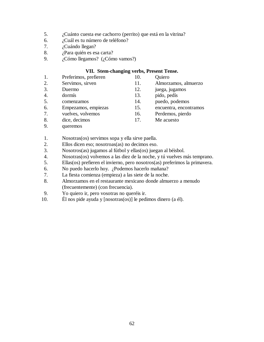- 5. ¿Cuánto cuesta ese cachorro (perrito) que está en la vitrina?
- 6. ¿Cuál es tu número de teléfono?
- 7. ¿Cuándo llegan?
- 8. ¿Para quién es esa carta?
- 9. ¿Cómo llegamos? (¿Cómo vamos?)

## **VII. Stem-changing verbs, Present Tense.**

- 1. Preferimos, prefieren 10. Quiero 2. Servimos, sirven 11. Almorzamos, almuerzo 3. Duermo 12. juega, jugamos 4. dormís 13. pido, pedís 5. comenzamos 14. puedo, podemos 6. Empezamos, empiezas 15. encuentra, encontramos 7. vuelves, volvemos 16. Perdemos, pierdo 8. dice, decimos 17. Me acuesto
- 9. queremos

1. Nosotras(os) servimos sopa y ella sirve paella.

2. Ellos dicen eso; nosotroas(as) no decimos eso.

3. Nosotros(as) jugamos al fútbol y ellas(os) juegan al béisbol.

4. Nosotras(os) volvemos a las diez de la noche, y tú vuelves más temprano.

5. Ellas(os) prefieren el invierno, pero nosotros(as) preferimos la primavera.

6. No puedo hacerlo hoy. ¿Podemos hacerlo mañana?

- 7. La fiesta comienza (empieza) a las siete de la noche.
- 8. Almorzamos en el restaurante mexicano donde almuerzo a menudo (frecuentemente) (con frecuencia).
- 9. Yo quiero ir, pero vosotras no queréis ir.
- 10. Él nos pide ayuda y [nosotras(os)] le pedimos dinero (a él).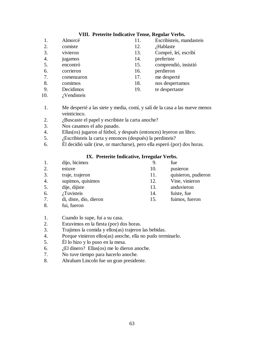## **VIII. Preterite Indicative Tense, Regular Verbs.**

- 1. Almorcé 11. Escribisteis, mandasteis 2. comiste 12. *i*Hablaste
- 
- 
- 
- 
- 
- 
- 
- 
- 10. *i*Vendisteis
- 1. Me desperté a las siete y media, comí, y salí de la casa a las nueve menos veinticinco.
- 2. *i*Buscaste el papel y escribiste la carta anoche?
- 3. Nos casamos el año pasado.
- 4. Ellas(os) jugaron al fútbol, y después (entonces) leyeron un libro.
- 5. ¿Escribisteis la carta y entonces (después) la perdisteis?
- 6. Él decidió salir (irse, or marcharse), pero ella esperó (por) dos horas.

# **IX. Preterite Indicative, Irregular Verbs.**

| 1.           | dijo, hicimos          | 9.  | fue                 |
|--------------|------------------------|-----|---------------------|
| 2.           | estuve                 | 10. | pusieron            |
| 3.           | traje, trajeron        | 11. | quisieron, pudieron |
| 4.           | supimos, quisimos      | 12. | Vine, vinieron      |
| 5.           | dije, dijiste          | 13. | anduvieron          |
| 6.           | $i$ Tuvisteis          | 14. | fuiste, fue         |
| 7.           | di, diste, dio, dieron | 15. | fuimos, fueron      |
| $\mathbf{Q}$ | fui fueron             |     |                     |

8. fui, fueron

# 1. Cuando lo supe, fui a su casa.

- 2. Estuvimos en la fiesta (por) dos horas.
- 3. Trajimos la comida y ellos(as) trajeron las bebidas.
- 4. Porque vinieron ellos(as) anoche, ella no pudo terminarlo.
- 5. Él lo hizo y lo puso en la mesa.
- 6.  $\iota$ El dinero? Ellas(os) me lo dieron anoche.
- 7. No tuve tiempo para hacerlo anoche.
- 8. Abraham Lincoln fue un gran presidente.
- 3. vivieron 13. Compré, leí, escribí
- 4. jugamos 14. preferiste
- 5. encontró 15. comprendió, insistió
- 6. corrieron 16. perdieron
- 7. comenzaron 17. me desperté
- 8. comimos 18. nos despertamos
- 9. Decidimos 19. te despertaste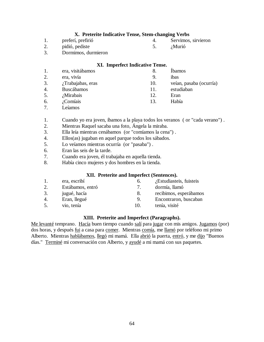## **X. Preterite Indicative Tense, Stem-changing Verbs**

- 1. preferí, prefirió 4. Servimos, sirvieron
- 2. pidió, pediste 5. ¿Murió
- -

3. Dormimos, durmieron

## **XI. Imperfect Indicative Tense.**

|                  | era, visitábamos  |     | <b>I</b> bamos          |
|------------------|-------------------|-----|-------------------------|
| 2.               | era, vivía        | 9.  | ibas                    |
| 3.               | ¿Trabajabas, eras | 10. | veían, pasaba (ocurría) |
| $\overline{4}$ . | <b>Buscábamos</b> | 11. | estudiaban              |
| 5.               | <i>i</i> Mirabais | 12. | Eran                    |
| 6.               | ¿Comíais          | 13  | Había                   |

7. Leíamos

1. Cuando yo era joven, íbamos a la playa todos los veranos ( or "cada verano") .

- 2. Mientras Raquel sacaba una foto, Ángela la miraba.
- 3. Ella leía mientras cenábamos (or "comíamos la cena") .
- 4. Ellos(as) jugaban en aquel parque todos los sábados.
- 5. Lo veíamos mientras ocurría (or "pasaba") .
- 6. Eran las seis de la tarde.
- 7. Cuando era joven, él trabajaba en aquella tienda.
- 8. Había cinco mujeres y dos hombres en la tienda.

## **XII. Preterite and Imperfect (Sentences).**

|    | era, escribí     | $\sigma$ . | ¿Estudiasteis, fuisteis |
|----|------------------|------------|-------------------------|
| 2. | Estábamos, entró |            | dormía, llamó           |
| 3. | jugué, hacía     | 8.         | recibimos, esperábamos  |
| 4. | Eran, llegué     | 9.         | Encontraron, buscaban   |
|    | vio, tenía       | 10.        | tenía, visité           |

## **XIII. Preterite and Imperfect (Paragraphs).**

Me levanté temprano. Hacía buen tiempo cuando salí para jugar con mis amigos. Jugamos (por) dos horas, y después fui a casa para comer. Mientras comía, me llamó por teléfono mi primo Alberto. Mientras hablábamos, llegó mi mamá. Ella abrió la puerta, entró, y me dijo "Buenos días." Terminé mi conversación con Alberto, y ayudé a mi mamá con sus paquetes.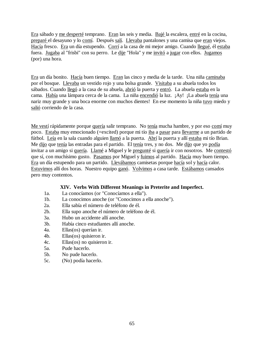Era sábado y me desperté temprano. Eran las seis y media. Bajé la escalera, entré en la cocina, preparé el desayuno y lo comí. Después salí. Llevaba pantalones y una camisa que eran viejos. Hacía fresco. Era un día estupendo. Corrí a la casa de mi mejor amigo. Cuando llegué, él estaba fuera. Jugaba al "frisbi" con su perro. Le dije "Hola" y me invitó a jugar con ellos. Jugamos (por) una hora.

Era un día bonito. Hacía buen tiempo. Eran las cinco y media de la tarde. Una niña caminaba por el bosque. Llevaba un vestido rojo y una bolsa grande. Visitaba a su abuela todos los sábados. Cuando llegó a la casa de su abuela, abrió la puerta y entró. La abuela estaba en la cama. Había una lámpara cerca de la cama. La niña encendió la luz. ¡Ay! ¡La abuela tenía una nariz muy grande y una boca enorme con muchos dientes! En ese momento la niña tuvo miedo y salió corriendo de la casa.

Me vestí rápidamente porque quería salir temprano. No tenía mucha hambre, y por eso comí muy poco. Estaba muy emocionado (=excited) porque mi tío iba a pasar para llevarme a un partido de fútbol. Leía en la sala cuando alguien llamó a la puerta. Abrí la puerta y allí estaba mi tío Brian. Me dijo que tenía las entradas para el partido. El tenía tres, y no dos. Me dijo que yo podía invitar a un amigo si quería. Llamé a Miguel y le pregunté si quería ir con nosotros. Me contestó que sí, con muchísimo gusto. Pasamos por Miguel y fuimos al partido. Hacía muy buen tiempo. Era un día estupendo para un partido. Llevábamos camisetas porque hacía sol y hacía calor. Estuvimos allí dos horas. Nuestro equipo ganó. Volvimos a casa tarde. Estábamos cansados pero muy contentos.

## **XIV. Verbs With Different Meanings in Preterite and Imperfect.**

- 1a. La conocíamos (or "Conocíamos a ella").
- 1b. La conocimos anoche (or "Conocimos a ella anoche").
- 2a. Ella sabía el número de teléfono de él.
- 2b. Ella supo anoche el número de teléfono de él.
- 3a. Hubo un accidente allí anoche.
- 3b. Había cinco estudiantes allí anoche.
- 4a. Ellas(os) querían ir.
- 4b. Ellas(os) quisieron ir.
- 4c. Ellas(os) no quisieron ir.
- 5a. Pude hacerlo.
- 5b. No pude hacerlo.
- 5c. (No) podía hacerlo.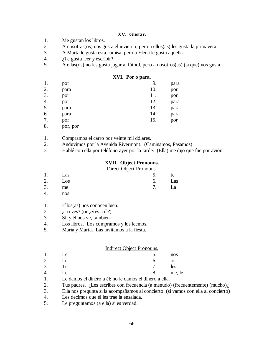## **XV. Gustar.**

- 1. Me gustan los libros.
- 2. A nosotras(os) nos gusta el invierno, pero a ellos(as) les gusta la primavera.
- 3. A Marta le gusta esta camisa, pero a Elena le gusta aquélla.
- 4.  $i$ <sup>T</sup>e gusta leer y escribir?
- 5. A ellas(os) no les gusta jugar al fútbol, pero a nosotros(as) (sí que) nos gusta.

#### **XVI. Por o para.**

| 1. | por      | 9.  | para |
|----|----------|-----|------|
| 2. | para     | 10. | por  |
| 3. | por      | 11. | por  |
| 4. | por      | 12. | para |
| 5. | para     | 13. | para |
| 6. | para     | 14. | para |
| 7. | por      | 15. | por  |
| 8. | por, por |     |      |

- 1. Compramos el carro por veinte mil dólares.
- 2. Anduvimos por la Avenida Rivermont. (Caminamos, Pasamos)
- 3. Hablé con ella por teléfono ayer por la tarde. (Ella) me dijo que fue por avión.

## **XVII. Object Pronouns.**

#### Direct Object Pronouns.

| 1. Las           | $5.$ te |  |
|------------------|---------|--|
| 2. $\text{Los }$ | 6. Las  |  |
| $3.$ me          | 7. La   |  |

4. nos

#### 1. Ellos(as) nos conocen bien.

- 2.  $\frac{1}{6}$  Lo ves? (or  $\frac{1}{6}$  Ves a él?)
- 3. Sí, y él nos ve, también.
- 4. Los libros. Los compramos y los leemos.
- 5. María y Marta. Las invitamos a la fiesta.

#### Indirect Object Pronouns.

- 1. Le 5. nos 2. Le 6. os
- 3. Te 7. les
- 4. Le  $\qquad \qquad 8.$  me, le
- 1. Le damos el dinero a él; no le damos el dinero a ella.
- 2. Tus padres. ¿Les escribes con frecuencia (a menudo) (frecuentemente) (mucho) $\lambda$

3. Ella nos pregunta si la acompañamos al concierto. (si vamos con ella al concierto)

- 4. Les decimos que él les trae la ensalada.
- 5. Le preguntamos (a ella) si es verdad.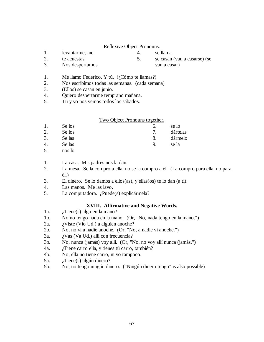## Reflexive Object Pronouns.

- 1. levantarme, me 4. se llama
- 2. te acuestas 5. se casan (van a casarse) (se

3. Nos despertamos van a casar)

- 1. Me llamo Federico. Y tú, (¿Cómo te llamas?)
- 2. Nos escribimos todas las semanas. (cada semana)
- 3. (Ellos) se casan en junio.
- 4. Quiero despertarme temprano mañana.
- 5. Tú y yo nos vemos todos los sábados.

# Two Object Pronouns together.

- 1. Se los 6. se lo 2. Se los 7. dártelas
- 3. Se las 8. dármelo
- 4. Se las 9. se la
- 5. nos lo

# 1. La casa. Mis padres nos la dan.

- 2. La mesa. Se la compro a ella, no se la compro a él. (La compro para ella, no para él.)
- 3. El dinero. Se lo damos a ellos(as), y ellas(os) te lo dan (a ti).
- 4. Las manos. Me las lavo.
- 5. La computadora. ¿Puede(s) explicármela?

# **XVIII. Affirmative and Negative Words.**

- 1a. ¿Tiene(s) algo en la mano?
- 1b. No no tengo nada en la mano. (Or, "No, nada tengo en la mano.")
- 2a. *i* Viste (Vio Ud.) a alguien anoche?
- 2b. No, no vi a nadie anoche. (Or, "No, a nadie vi anoche.")
- 3a.  $i$ Vas (Va Ud.) allí con frecuencia?
- 3b. No, nunca (jamás) voy allí. (Or, "No, no voy allí nunca (jamás.")
- 4a. ¿Tiene carro ella, y tienes tú carro, también?
- 4b. No, ella no tiene carro, ni yo tampoco.
- 5a. ¿Tiene(s) algún dinero?
- 5b. No, no tengo ningún dinero. ("Ningún dinero tengo" is also possible)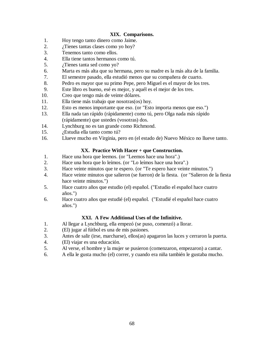## **XIX. Comparisons.**

- 1. Hoy tengo tanto dinero como Jaime.
- 2. *i* Tienes tantas clases como yo hoy?
- 3. Tenemos tanto como ellos.
- 4. Ella tiene tantos hermanos como tú.
- 5. ¿Tienes tanta sed como yo?
- 6. Marta es más alta que su hermana, pero su madre es la más alta de la familia.
- 7. El semestre pasado, ella estudió menos que su compañera de cuarto.
- 8. Pedro es mayor que su primo Pepe, pero Miguel es el mayor de los tres.
- 9. Este libro es bueno, esé es mejor, y aquél es el mejor de los tres.
- 10. Creo que tengo más de veinte dólares.
- 11. Ella tiene más trabajo que nosotras(os) hoy.
- 12. Esto es menos importante que eso. (or "Esto importa menos que eso.")
- 13. Ella nada tan rápido (rápidamente) como tú, pero Olga nada más rápido (rápidamente) que ustedes (vosotras) dos.
- 14. Lynchburg no es tan grande como Richmond.
- 15. ¿Estudia ella tanto como tú?
- 16. Llueve mucho en Virginia, pero en (el estado de) Nuevo México no llueve tanto.

## **XX. Practice With Hacer + que Construction.**

- 1. Hace una hora que leemos. (or "Leemos hace una hora".)
- 2. Hace una hora que lo leímos. (or "Lo leímos hace una hora".)
- 3. Hace veinte minutos que te espero. (or "Te espero hace veinte minutos.")
- 4. Hace veinte minutos que salieron (se fueron) de la fiesta. (or "Salieron de la fiesta hace veinte minutos.")
- 5. Hace cuatro años que estudio (el) español. ("Estudio el español hace cuatro años.")
- 6. Hace cuatro años que estudié (el) español. ("Estudié el español hace cuatro años.")

## **XXI. A Few Additional Uses of the Infinitive.**

- 1. Al llegar a Lynchburg, ella empezó (se puso, comenzó) a llorar.
- 2. (El) jugar al fútbol es una de mis pasiones.
- 3. Antes de salir (irse, marcharse), ellos(as) apagaron las luces y cerraron la puerta.
- 4. (El) viajar es una educación.
- 5. Al verse, el hombre y la mujer se pusieron (comenzaron, empezaron) a cantar.
- 6. A ella le gusta mucho (el) correr, y cuando era niña también le gustaba mucho.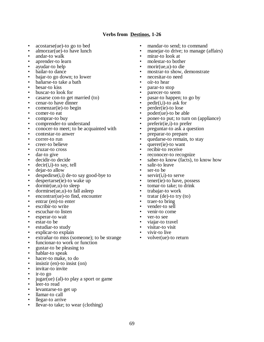## **Verbs from Destinos, 1-26**

- acostarse(ue)-to go to bed
- almorzar(ue)-to have lunch
- andar-to walk
- aprender-to learn<br>• avudar-to help
- ayudar-to help
- bailar-to dance
- bajar-to go down; to lower
- bañarse-to take a bath
- besar-to kiss
- buscar-to look for
- casarse con-to get married (to)
- cenar-to have dinner
- comenzar(ie)-to begin
- comer-to eat<br>• comprar-to b
- comprar-to buy<br>• comprender-to u
- comprender-to understand
- conocer-to meet; to be acquainted with
- contestar-to anwer
- correr-to run
- creer-to believe
- cruzar-to cross
- dar-to give
- decidir-to decide
- decir(i,i)-to say, tell
- dejar-to allow
- despedirse $(i,i)$  de-to say good-bye to<br>• despertarse $(ie)$ -to wake up
- despertarse(ie)-to wake up
- dormir(ue,u)-to sleep
- dormirse(ue,u)-to fall asleep
- encontrar(ue)-to find, encounter
- entrar (en)-to enter
- escribir-to write
- escuchar-to listen
- esperar-to wait
- estar-to be
- estudiar-to study<br>• explicar-to explain
- explicar-to explain<br>• extrañar-to miss (se
- extrañar-to miss (someone); to be strange
- funcionar-to work or function
- gustar-to be pleasing to
- hablar-to speak
- hacer-to make, to do
- insistir (en)-to insist (on)
- invitar-to invite
- ir-to go
- jugar(ue) (al)-to play a sport or game
- leer-to read
- levantarse-to get up
- llamar-to call
- llegar-to arrive
- llevar-to take; to wear (clothing)
- mandar-to send; to command
- manejar-to drive; to manage (affairs)
- mirar-to look at<br>• molestar-to both
- molestar-to bother<br>• morir(ue,u)-to die
- morir(ue,u)-to die
- mostrar-to show, demonstrate
- necesitar-to need
- oír-to hear
- parar-to stop
- parecer-to seem
- pasar-to happen; to go by
- $pedir(i,i)-to$  ask for
- perder(ie)-to lose
- $poder(ue)-to be able$
- poner-to put; to turn on (appliance)
- preferir(ie,i)-to prefer
- preguntar-to ask a question
- preparar-to prepare
- quedarse-to remain, to stay
- querer(ie)-to want
- recibir-to receive
- reconocer-to recognize
- saber-to know (facts), to know how
- salir-to leave
- ser-to be
- servir(i,i)-to serve<br>• tener(ie)-to have
- tener(ie)-to have, possess
- tomar-to take; to drink
- trabajar-to work
- tratar (de)-to try  $(to)$
- traer-to bring
- vender-to sell
- venir-to come
- ver-to see
- viajar-to travel
- visitar-to visit
- vivir-to live<br>• volver(ue)-t
- volver(ue)-to return